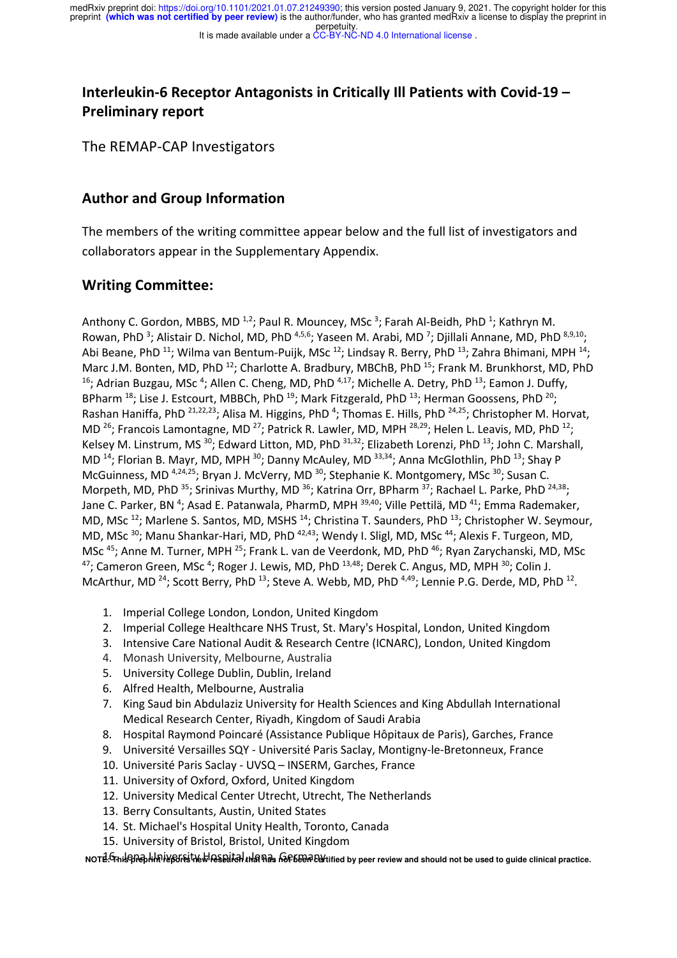# **Interleukin-6 Receptor Antagonists in Critically Ill Patients with Covid-19 – Preliminary report**

The REMAP-CAP Investigators

### **Author and Group Information**

The members of the writing committee appear below and the full list of investigators and collaborators appear in the Supplementary Appendix.

### **Writing Committee:**

Anthony C. Gordon, MBBS, MD<sup>1,2</sup>; Paul R. Mouncey, MSc<sup>3</sup>; Farah Al-Beidh, PhD<sup>1</sup>; Kathryn M. Rowan, PhD<sup>3</sup>; Alistair D. Nichol, MD, PhD<sup>4,5,6</sup>; Yaseen M. Arabi, MD<sup>7</sup>; Djillali Annane, MD, PhD<sup>8,9,10</sup>; Abi Beane, PhD<sup>11</sup>; Wilma van Bentum-Puijk, MSc<sup>12</sup>; Lindsay R. Berry, PhD<sup>13</sup>; Zahra Bhimani, MPH<sup>14</sup>; Marc J.M. Bonten, MD, PhD<sup>12</sup>; Charlotte A. Bradbury, MBChB, PhD<sup>15</sup>; Frank M. Brunkhorst, MD, PhD <sup>16</sup>; Adrian Buzgau, MSc<sup>4</sup>; Allen C. Cheng, MD, PhD<sup>4,17</sup>; Michelle A. Detry, PhD<sup>13</sup>; Eamon J. Duffy, BPharm  $^{18}$ ; Lise J. Estcourt, MBBCh, PhD  $^{19}$ ; Mark Fitzgerald, PhD  $^{13}$ ; Herman Goossens, PhD  $^{20}$ ; Rashan Haniffa, PhD <sup>21,22,23</sup>; Alisa M. Higgins, PhD <sup>4</sup>; Thomas E. Hills, PhD <sup>24,25</sup>; Christopher M. Horvat, MD <sup>26</sup>; Francois Lamontagne, MD <sup>27</sup>; Patrick R. Lawler, MD, MPH <sup>28,29</sup>; Helen L. Leavis, MD, PhD <sup>12</sup>; Kelsey M. Linstrum, MS<sup>30</sup>; Edward Litton, MD, PhD<sup>31,32</sup>; Elizabeth Lorenzi, PhD<sup>13</sup>; John C. Marshall, MD<sup>14</sup>; Florian B. Mayr, MD, MPH<sup>30</sup>; Danny McAuley, MD<sup>33,34</sup>; Anna McGlothlin, PhD<sup>13</sup>; Shay P McGuinness, MD<sup>4,24,25</sup>; Bryan J. McVerry, MD<sup>30</sup>; Stephanie K. Montgomery, MSc<sup>30</sup>; Susan C. Morpeth, MD, PhD <sup>35</sup>; Srinivas Murthy, MD <sup>36</sup>; Katrina Orr, BPharm <sup>37</sup>; Rachael L. Parke, PhD <sup>24,38</sup>; Jane C. Parker, BN <sup>4</sup>; Asad E. Patanwala, PharmD, MPH <sup>39,40</sup>; Ville Pettilä, MD <sup>41</sup>; Emma Rademaker, MD, MSc<sup>12</sup>; Marlene S. Santos, MD, MSHS<sup>14</sup>; Christina T. Saunders, PhD<sup>13</sup>; Christopher W. Seymour, MD, MSc<sup>30</sup>; Manu Shankar-Hari, MD, PhD<sup>42,43</sup>; Wendy I. Sligl, MD, MSc<sup>44</sup>; Alexis F. Turgeon, MD, MSc<sup>45</sup>; Anne M. Turner, MPH<sup>25</sup>; Frank L. van de Veerdonk, MD, PhD<sup>46</sup>; Ryan Zarychanski, MD, MSc  $47$ ; Cameron Green, MSc<sup>4</sup>; Roger J. Lewis, MD, PhD  $^{13,48}$ ; Derek C. Angus, MD, MPH  $^{30}$ ; Colin J. McArthur, MD<sup>24</sup>; Scott Berry, PhD<sup>13</sup>; Steve A. Webb, MD, PhD<sup>4,49</sup>; Lennie P.G. Derde, MD, PhD<sup>12</sup>.

- 1. Imperial College London, London, United Kingdom
- 2. Imperial College Healthcare NHS Trust, St. Mary's Hospital, London, United Kingdom
- 3. Intensive Care National Audit & Research Centre (ICNARC), London, United Kingdom
- 4. Monash University, Melbourne, Australia
- 5. University College Dublin, Dublin, Ireland
- 6. Alfred Health, Melbourne, Australia
- 7. King Saud bin Abdulaziz University for Health Sciences and King Abdullah International Medical Research Center, Riyadh, Kingdom of Saudi Arabia
- 8. Hospital Raymond Poincaré (Assistance Publique Hôpitaux de Paris), Garches, France
- 9. Université Versailles SQY Université Paris Saclay, Montigny-le-Bretonneux, France
- 10. Université Paris Saclay UVSQ INSERM, Garches, France
- 11. University of Oxford, Oxford, United Kingdom
- 12. University Medical Center Utrecht, Utrecht, The Netherlands
- 13. Berry Consultants, Austin, United States
- 14. St. Michael's Hospital Unity Health, Toronto, Canada
- 15. University of Bristol, Bristol, United Kingdom

NOTE: Thi**s phap li In it go The University of Limitation** and peer review and should not be used to guide clinical practice.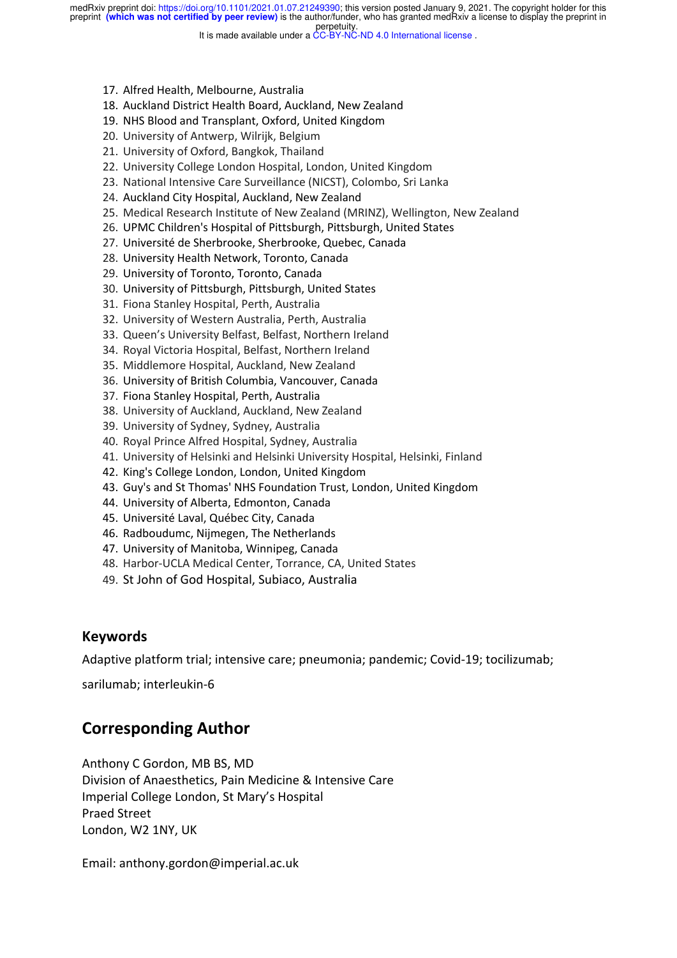perpetuity. preprint **(which was not certified by peer review)** is the author/funder, who has granted medRxiv a license to display the preprint in medRxiv preprint doi: https://doi.org/10.1101/2021.01.07.21249390; this version posted January 9, 2021. The copyright holder for this

It is made available under a CC-BY-NC-ND 4.0 International license .

- 17. Alfred Health, Melbourne, Australia
- 18. Auckland District Health Board, Auckland, New Zealand
- 19. NHS Blood and Transplant, Oxford, United Kingdom
- 20. University of Antwerp, Wilrijk, Belgium
- 21. University of Oxford, Bangkok, Thailand
- 22. University College London Hospital, London, United Kingdom
- 23. National Intensive Care Surveillance (NICST), Colombo, Sri Lanka
- 24. Auckland City Hospital, Auckland, New Zealand
- 25. Medical Research Institute of New Zealand (MRINZ), Wellington, New Zealand
- 26. UPMC Children's Hospital of Pittsburgh, Pittsburgh, United States
- 27. Université de Sherbrooke, Sherbrooke, Quebec, Canada
- 28. University Health Network, Toronto, Canada
- 29. University of Toronto, Toronto, Canada
- 30. University of Pittsburgh, Pittsburgh, United States
- 31. Fiona Stanley Hospital, Perth, Australia
- 32. University of Western Australia, Perth, Australia
- 33. Queen's University Belfast, Belfast, Northern Ireland
- 34. Royal Victoria Hospital, Belfast, Northern Ireland
- 35. Middlemore Hospital, Auckland, New Zealand
- 36. University of British Columbia, Vancouver, Canada
- 37. Fiona Stanley Hospital, Perth, Australia
- 38. University of Auckland, Auckland, New Zealand
- 39. University of Sydney, Sydney, Australia
- 40. Royal Prince Alfred Hospital, Sydney, Australia
- 41. University of Helsinki and Helsinki University Hospital, Helsinki, Finland
- 42. King's College London, London, United Kingdom
- 43. Guy's and St Thomas' NHS Foundation Trust, London, United Kingdom
- 44. University of Alberta, Edmonton, Canada
- 45. Université Laval, Québec City, Canada
- 46. Radboudumc, Nijmegen, The Netherlands
- 47. University of Manitoba, Winnipeg, Canada
- 48. Harbor-UCLA Medical Center, Torrance, CA, United States
- 49. St John of God Hospital, Subiaco, Australia

#### **Keywords**

Adaptive platform trial; intensive care; pneumonia; pandemic; Covid-19; tocilizumab;

sarilumab; interleukin-6

## **Corresponding Author**

Anthony C Gordon, MB BS, MD Division of Anaesthetics, Pain Medicine & Intensive Care Imperial College London, St Mary's Hospital Praed Street London, W2 1NY, UK

Email: anthony.gordon@imperial.ac.uk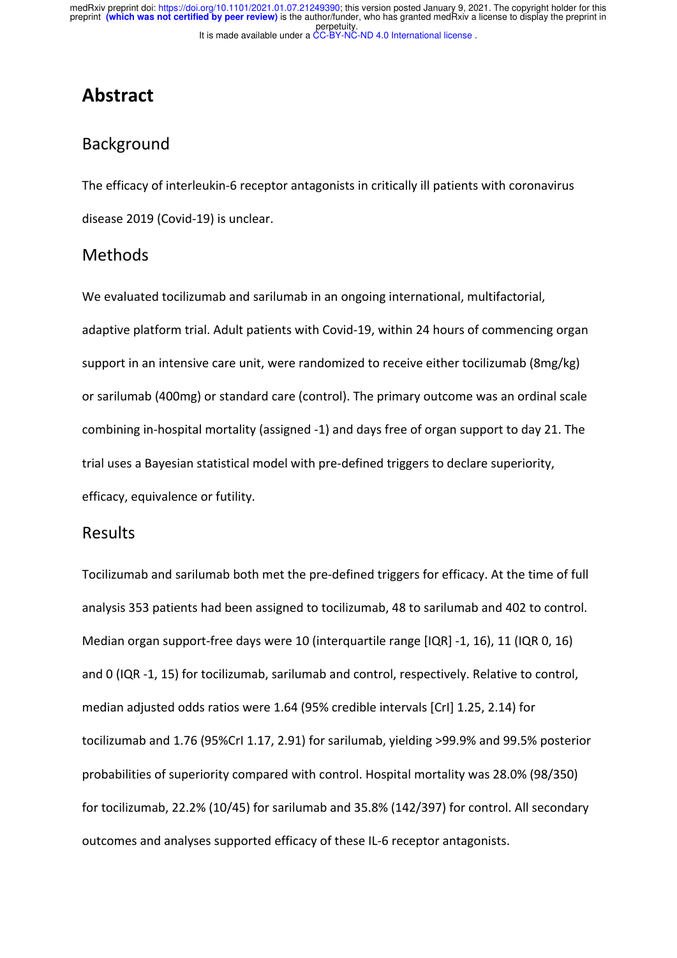# **Abstract**

## Background

The efficacy of interleukin-6 receptor antagonists in critically ill patients with coronavirus disease 2019 (Covid-19) is unclear.

### Methods

We evaluated tocilizumab and sarilumab in an ongoing international, multifactorial, adaptive platform trial. Adult patients with Covid-19, within 24 hours of commencing organ support in an intensive care unit, were randomized to receive either tocilizumab (8mg/kg) or sarilumab (400mg) or standard care (control). The primary outcome was an ordinal scale combining in-hospital mortality (assigned -1) and days free of organ support to day 21. The trial uses a Bayesian statistical model with pre-defined triggers to declare superiority, efficacy, equivalence or futility.

### Results

Tocilizumab and sarilumab both met the pre-defined triggers for efficacy. At the time of full analysis 353 patients had been assigned to tocilizumab, 48 to sarilumab and 402 to control. Median organ support-free days were 10 (interquartile range [IQR] -1, 16), 11 (IQR 0, 16) and 0 (IQR -1, 15) for tocilizumab, sarilumab and control, respectively. Relative to control, median adjusted odds ratios were 1.64 (95% credible intervals [CrI] 1.25, 2.14) for tocilizumab and 1.76 (95%CrI 1.17, 2.91) for sarilumab, yielding >99.9% and 99.5% posterior probabilities of superiority compared with control. Hospital mortality was 28.0% (98/350) for tocilizumab, 22.2% (10/45) for sarilumab and 35.8% (142/397) for control. All secondary outcomes and analyses supported efficacy of these IL-6 receptor antagonists.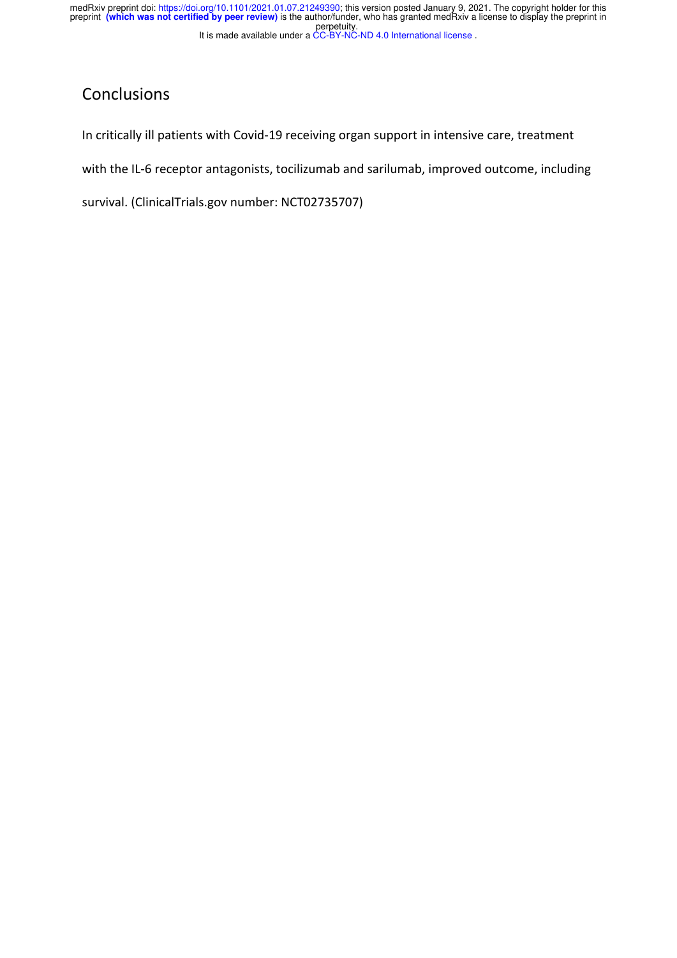## Conclusions

In critically ill patients with Covid-19 receiving organ support in intensive care, treatment

with the IL-6 receptor antagonists, tocilizumab and sarilumab, improved outcome, including

survival. (ClinicalTrials.gov number: NCT02735707)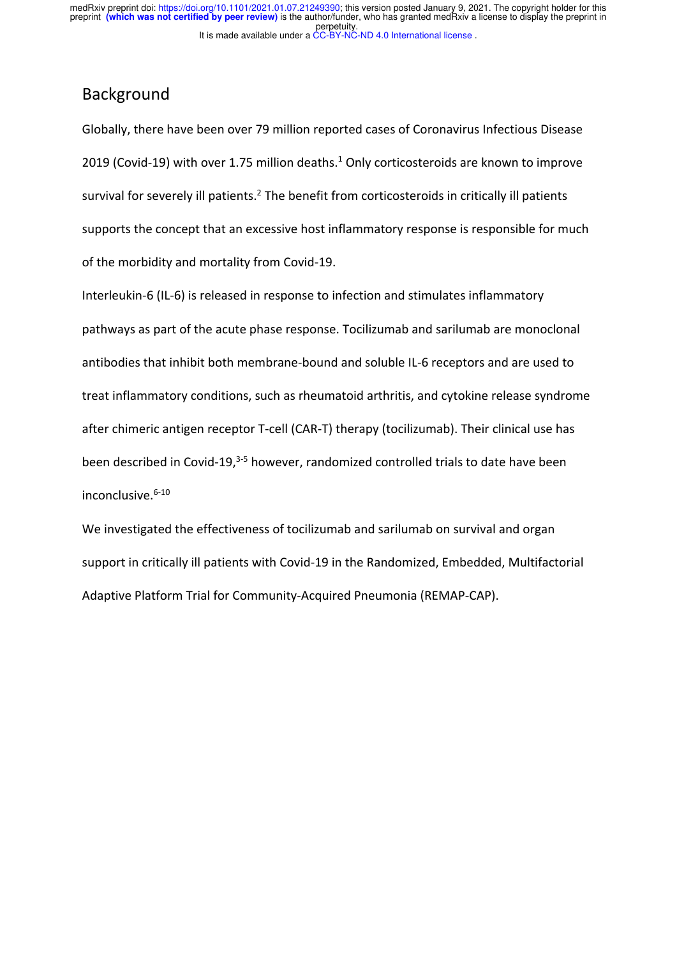## Background

Globally, there have been over 79 million reported cases of Coronavirus Infectious Disease 2019 (Covid-19) with over 1.75 million deaths. $<sup>1</sup>$  Only corticosteroids are known to improve</sup> survival for severely ill patients.<sup>2</sup> The benefit from corticosteroids in critically ill patients supports the concept that an excessive host inflammatory response is responsible for much of the morbidity and mortality from Covid-19.

Interleukin-6 (IL-6) is released in response to infection and stimulates inflammatory pathways as part of the acute phase response. Tocilizumab and sarilumab are monoclonal antibodies that inhibit both membrane-bound and soluble IL-6 receptors and are used to treat inflammatory conditions, such as rheumatoid arthritis, and cytokine release syndrome after chimeric antigen receptor T-cell (CAR-T) therapy (tocilizumab). Their clinical use has been described in Covid-19,<sup>3-5</sup> however, randomized controlled trials to date have been inconclusive. 6-10

We investigated the effectiveness of tocilizumab and sarilumab on survival and organ support in critically ill patients with Covid-19 in the Randomized, Embedded, Multifactorial Adaptive Platform Trial for Community-Acquired Pneumonia (REMAP-CAP).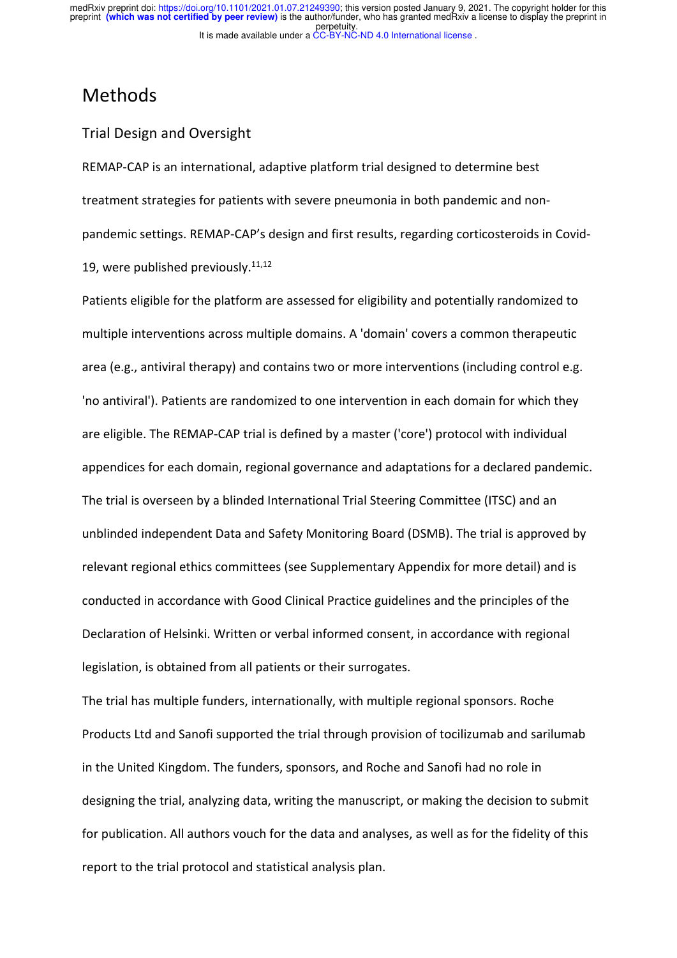## Methods

#### Trial Design and Oversight

REMAP-CAP is an international, adaptive platform trial designed to determine best treatment strategies for patients with severe pneumonia in both pandemic and nonpandemic settings. REMAP-CAP's design and first results, regarding corticosteroids in Covid-19, were published previously.<sup>11,12</sup>

Patients eligible for the platform are assessed for eligibility and potentially randomized to multiple interventions across multiple domains. A 'domain' covers a common therapeutic area (e.g., antiviral therapy) and contains two or more interventions (including control e.g. 'no antiviral'). Patients are randomized to one intervention in each domain for which they are eligible. The REMAP-CAP trial is defined by a master ('core') protocol with individual appendices for each domain, regional governance and adaptations for a declared pandemic. The trial is overseen by a blinded International Trial Steering Committee (ITSC) and an unblinded independent Data and Safety Monitoring Board (DSMB). The trial is approved by relevant regional ethics committees (see Supplementary Appendix for more detail) and is conducted in accordance with Good Clinical Practice guidelines and the principles of the Declaration of Helsinki. Written or verbal informed consent, in accordance with regional legislation, is obtained from all patients or their surrogates.

The trial has multiple funders, internationally, with multiple regional sponsors. Roche Products Ltd and Sanofi supported the trial through provision of tocilizumab and sarilumab in the United Kingdom. The funders, sponsors, and Roche and Sanofi had no role in designing the trial, analyzing data, writing the manuscript, or making the decision to submit for publication. All authors vouch for the data and analyses, as well as for the fidelity of this report to the trial protocol and statistical analysis plan.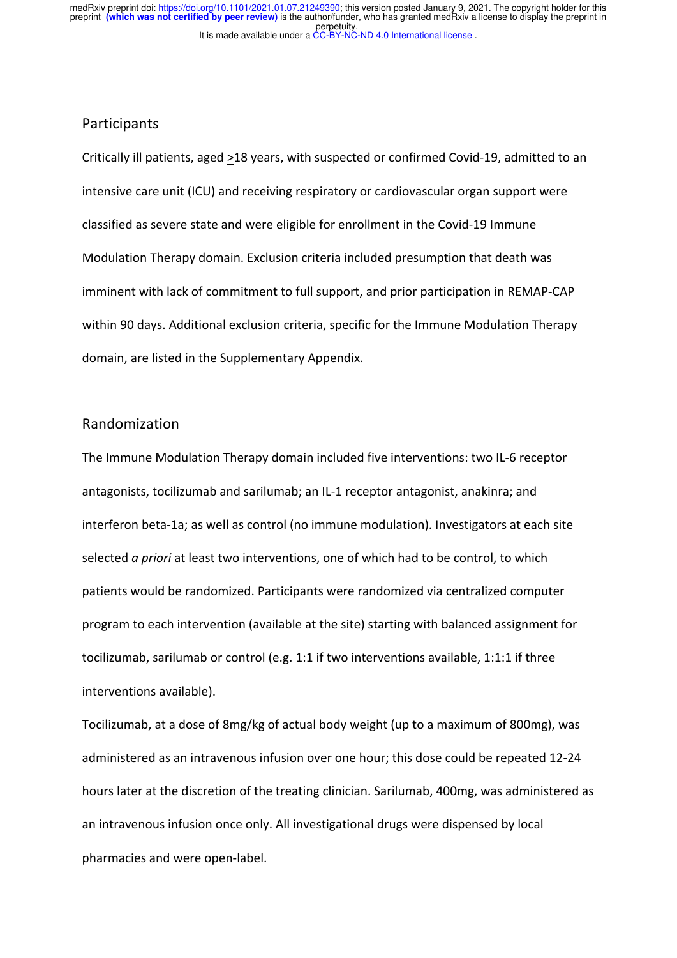#### Participants

Critically ill patients, aged >18 years, with suspected or confirmed Covid-19, admitted to an intensive care unit (ICU) and receiving respiratory or cardiovascular organ support were classified as severe state and were eligible for enrollment in the Covid-19 Immune Modulation Therapy domain. Exclusion criteria included presumption that death was imminent with lack of commitment to full support, and prior participation in REMAP-CAP within 90 days. Additional exclusion criteria, specific for the Immune Modulation Therapy domain, are listed in the Supplementary Appendix.

#### Randomization

The Immune Modulation Therapy domain included five interventions: two IL-6 receptor antagonists, tocilizumab and sarilumab; an IL-1 receptor antagonist, anakinra; and interferon beta-1a; as well as control (no immune modulation). Investigators at each site selected *a priori* at least two interventions, one of which had to be control, to which patients would be randomized. Participants were randomized via centralized computer program to each intervention (available at the site) starting with balanced assignment for tocilizumab, sarilumab or control (e.g. 1:1 if two interventions available, 1:1:1 if three interventions available).

Tocilizumab, at a dose of 8mg/kg of actual body weight (up to a maximum of 800mg), was administered as an intravenous infusion over one hour; this dose could be repeated 12-24 hours later at the discretion of the treating clinician. Sarilumab, 400mg, was administered as an intravenous infusion once only. All investigational drugs were dispensed by local pharmacies and were open-label.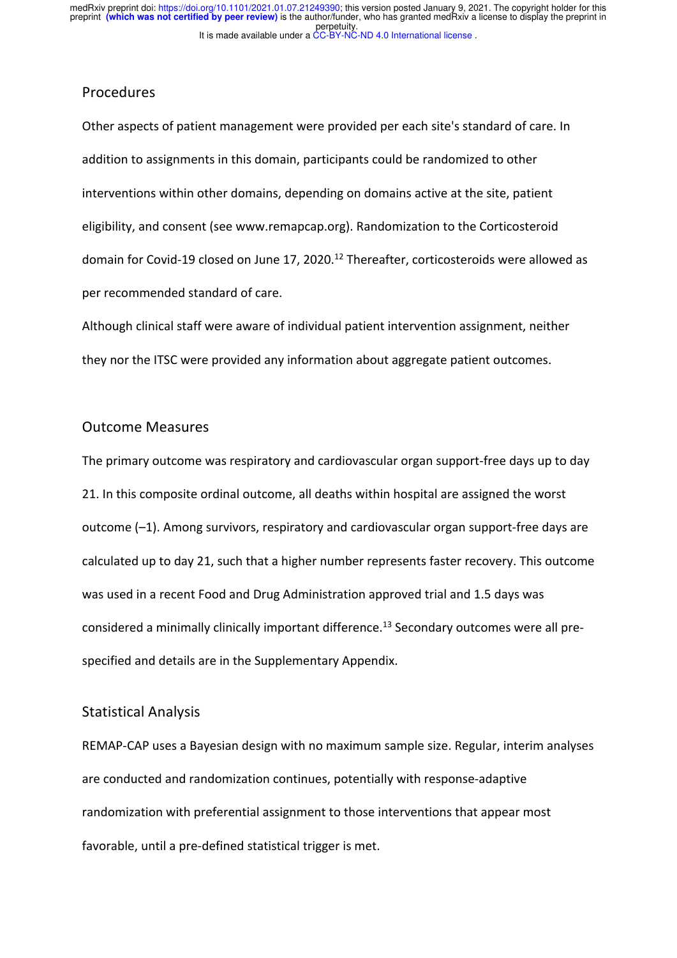#### Procedures

Other aspects of patient management were provided per each site's standard of care. In addition to assignments in this domain, participants could be randomized to other interventions within other domains, depending on domains active at the site, patient eligibility, and consent (see www.remapcap.org). Randomization to the Corticosteroid domain for Covid-19 closed on June 17, 2020.<sup>12</sup> Thereafter, corticosteroids were allowed as per recommended standard of care.

Although clinical staff were aware of individual patient intervention assignment, neither they nor the ITSC were provided any information about aggregate patient outcomes.

#### Outcome Measures

The primary outcome was respiratory and cardiovascular organ support-free days up to day 21. In this composite ordinal outcome, all deaths within hospital are assigned the worst outcome (–1). Among survivors, respiratory and cardiovascular organ support-free days are calculated up to day 21, such that a higher number represents faster recovery. This outcome was used in a recent Food and Drug Administration approved trial and 1.5 days was considered a minimally clinically important difference.<sup>13</sup> Secondary outcomes were all prespecified and details are in the Supplementary Appendix.

#### Statistical Analysis

REMAP-CAP uses a Bayesian design with no maximum sample size. Regular, interim analyses are conducted and randomization continues, potentially with response-adaptive randomization with preferential assignment to those interventions that appear most favorable, until a pre-defined statistical trigger is met.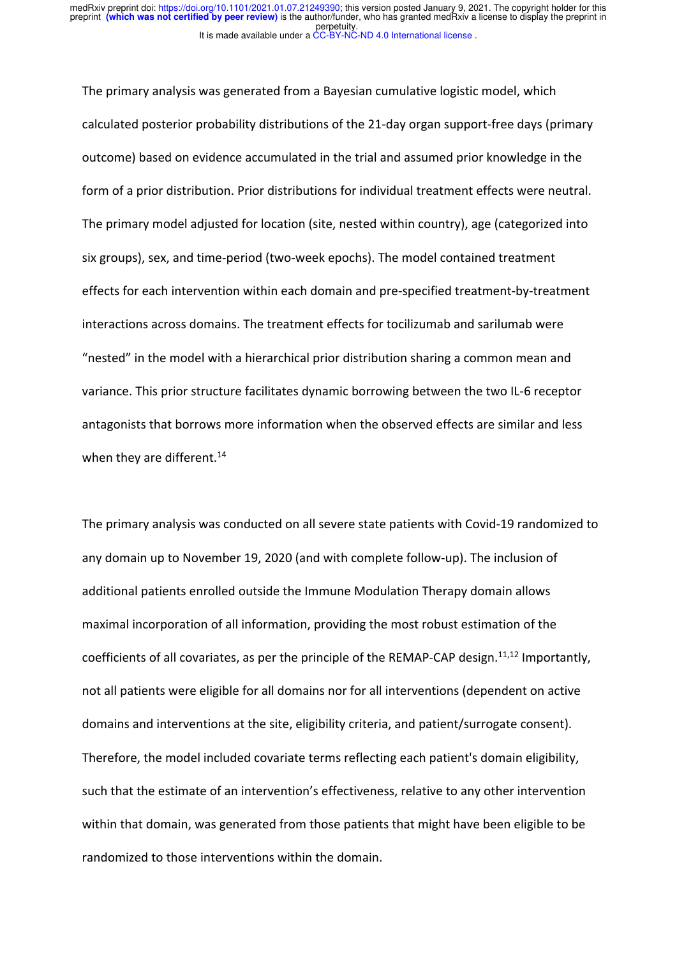The primary analysis was generated from a Bayesian cumulative logistic model, which calculated posterior probability distributions of the 21-day organ support-free days (primary outcome) based on evidence accumulated in the trial and assumed prior knowledge in the form of a prior distribution. Prior distributions for individual treatment effects were neutral. The primary model adjusted for location (site, nested within country), age (categorized into six groups), sex, and time-period (two-week epochs). The model contained treatment effects for each intervention within each domain and pre-specified treatment-by-treatment interactions across domains. The treatment effects for tocilizumab and sarilumab were "nested" in the model with a hierarchical prior distribution sharing a common mean and variance. This prior structure facilitates dynamic borrowing between the two IL-6 receptor antagonists that borrows more information when the observed effects are similar and less when they are different.<sup>14</sup>

The primary analysis was conducted on all severe state patients with Covid-19 randomized to any domain up to November 19, 2020 (and with complete follow-up). The inclusion of additional patients enrolled outside the Immune Modulation Therapy domain allows maximal incorporation of all information, providing the most robust estimation of the coefficients of all covariates, as per the principle of the REMAP-CAP design.<sup>11,12</sup> Importantly, not all patients were eligible for all domains nor for all interventions (dependent on active domains and interventions at the site, eligibility criteria, and patient/surrogate consent). Therefore, the model included covariate terms reflecting each patient's domain eligibility, such that the estimate of an intervention's effectiveness, relative to any other intervention within that domain, was generated from those patients that might have been eligible to be randomized to those interventions within the domain.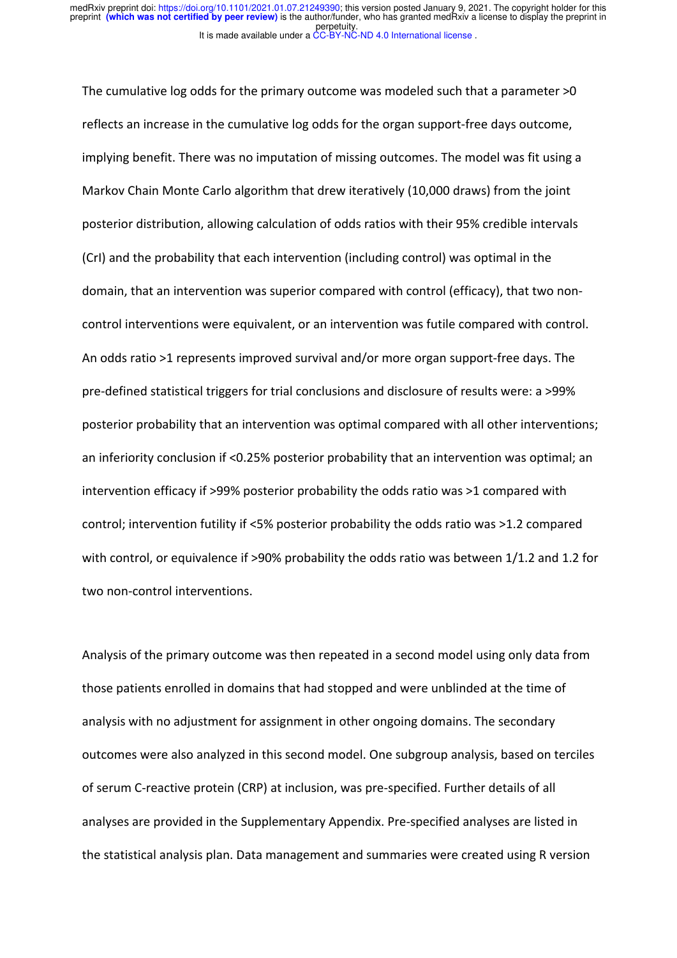The cumulative log odds for the primary outcome was modeled such that a parameter >0 reflects an increase in the cumulative log odds for the organ support-free days outcome, implying benefit. There was no imputation of missing outcomes. The model was fit using a Markov Chain Monte Carlo algorithm that drew iteratively (10,000 draws) from the joint posterior distribution, allowing calculation of odds ratios with their 95% credible intervals (CrI) and the probability that each intervention (including control) was optimal in the domain, that an intervention was superior compared with control (efficacy), that two noncontrol interventions were equivalent, or an intervention was futile compared with control. An odds ratio >1 represents improved survival and/or more organ support-free days. The pre-defined statistical triggers for trial conclusions and disclosure of results were: a >99% posterior probability that an intervention was optimal compared with all other interventions; an inferiority conclusion if <0.25% posterior probability that an intervention was optimal; an intervention efficacy if >99% posterior probability the odds ratio was >1 compared with control; intervention futility if <5% posterior probability the odds ratio was >1.2 compared with control, or equivalence if >90% probability the odds ratio was between 1/1.2 and 1.2 for two non-control interventions.

Analysis of the primary outcome was then repeated in a second model using only data from those patients enrolled in domains that had stopped and were unblinded at the time of analysis with no adjustment for assignment in other ongoing domains. The secondary outcomes were also analyzed in this second model. One subgroup analysis, based on terciles of serum C-reactive protein (CRP) at inclusion, was pre-specified. Further details of all analyses are provided in the Supplementary Appendix. Pre-specified analyses are listed in the statistical analysis plan. Data management and summaries were created using R version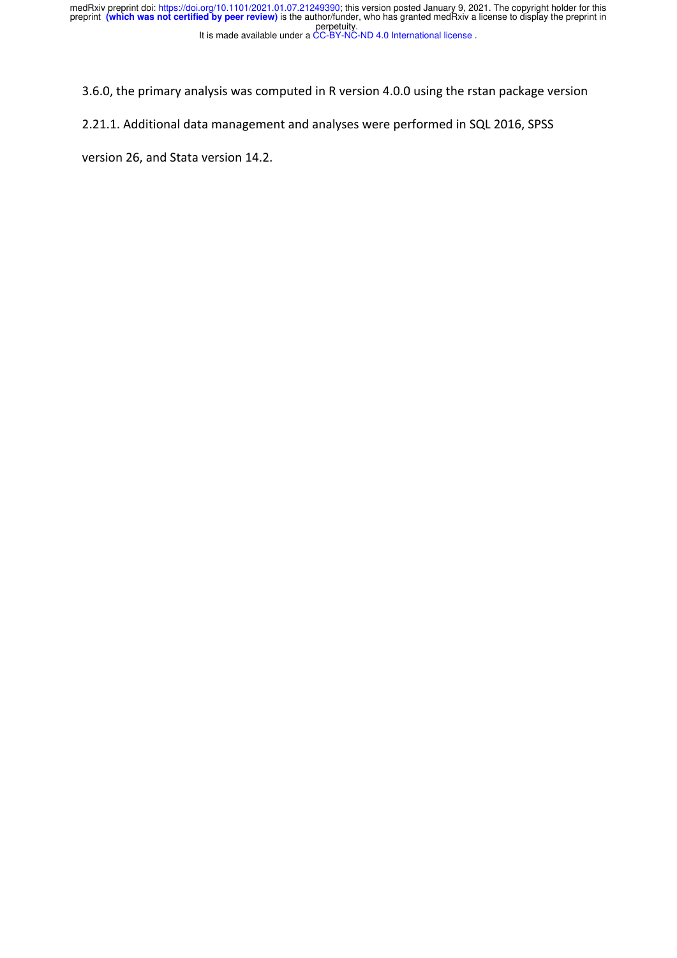3.6.0, the primary analysis was computed in R version 4.0.0 using the rstan package version

2.21.1. Additional data management and analyses were performed in SQL 2016, SPSS

version 26, and Stata version 14.2.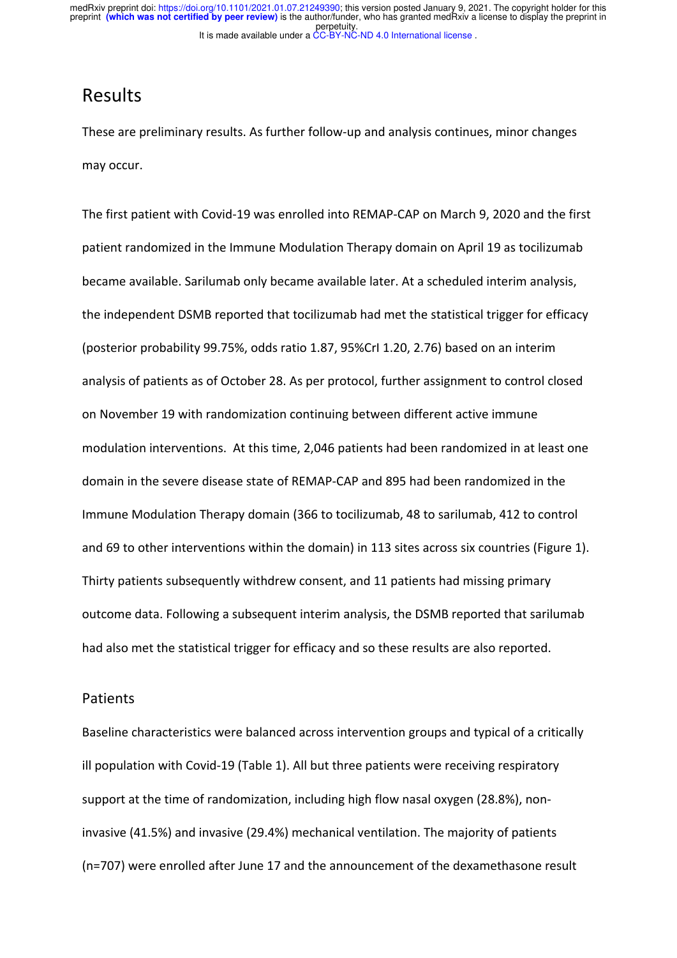## Results

These are preliminary results. As further follow-up and analysis continues, minor changes may occur.

The first patient with Covid-19 was enrolled into REMAP-CAP on March 9, 2020 and the first patient randomized in the Immune Modulation Therapy domain on April 19 as tocilizumab became available. Sarilumab only became available later. At a scheduled interim analysis, the independent DSMB reported that tocilizumab had met the statistical trigger for efficacy (posterior probability 99.75%, odds ratio 1.87, 95%CrI 1.20, 2.76) based on an interim analysis of patients as of October 28. As per protocol, further assignment to control closed on November 19 with randomization continuing between different active immune modulation interventions. At this time, 2,046 patients had been randomized in at least one domain in the severe disease state of REMAP-CAP and 895 had been randomized in the Immune Modulation Therapy domain (366 to tocilizumab, 48 to sarilumab, 412 to control and 69 to other interventions within the domain) in 113 sites across six countries (Figure 1). Thirty patients subsequently withdrew consent, and 11 patients had missing primary outcome data. Following a subsequent interim analysis, the DSMB reported that sarilumab had also met the statistical trigger for efficacy and so these results are also reported.

#### Patients

Baseline characteristics were balanced across intervention groups and typical of a critically ill population with Covid-19 (Table 1). All but three patients were receiving respiratory support at the time of randomization, including high flow nasal oxygen (28.8%), noninvasive (41.5%) and invasive (29.4%) mechanical ventilation. The majority of patients (n=707) were enrolled after June 17 and the announcement of the dexamethasone result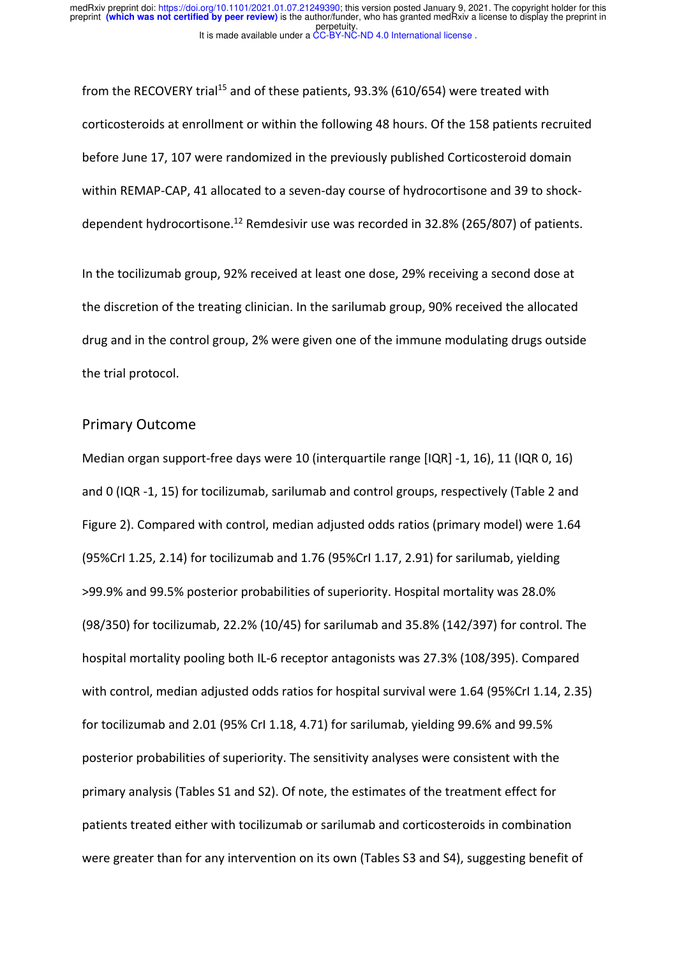from the RECOVERY trial<sup>15</sup> and of these patients, 93.3% (610/654) were treated with corticosteroids at enrollment or within the following 48 hours. Of the 158 patients recruited before June 17, 107 were randomized in the previously published Corticosteroid domain within REMAP-CAP, 41 allocated to a seven-day course of hydrocortisone and 39 to shockdependent hydrocortisone.<sup>12</sup> Remdesivir use was recorded in 32.8% (265/807) of patients.

In the tocilizumab group, 92% received at least one dose, 29% receiving a second dose at the discretion of the treating clinician. In the sarilumab group, 90% received the allocated drug and in the control group, 2% were given one of the immune modulating drugs outside the trial protocol.

#### Primary Outcome

Median organ support-free days were 10 (interquartile range [IQR] -1, 16), 11 (IQR 0, 16) and 0 (IQR -1, 15) for tocilizumab, sarilumab and control groups, respectively (Table 2 and Figure 2). Compared with control, median adjusted odds ratios (primary model) were 1.64 (95%CrI 1.25, 2.14) for tocilizumab and 1.76 (95%CrI 1.17, 2.91) for sarilumab, yielding >99.9% and 99.5% posterior probabilities of superiority. Hospital mortality was 28.0% (98/350) for tocilizumab, 22.2% (10/45) for sarilumab and 35.8% (142/397) for control. The hospital mortality pooling both IL-6 receptor antagonists was 27.3% (108/395). Compared with control, median adjusted odds ratios for hospital survival were 1.64 (95%CrI 1.14, 2.35) for tocilizumab and 2.01 (95% CrI 1.18, 4.71) for sarilumab, yielding 99.6% and 99.5% posterior probabilities of superiority. The sensitivity analyses were consistent with the primary analysis (Tables S1 and S2). Of note, the estimates of the treatment effect for patients treated either with tocilizumab or sarilumab and corticosteroids in combination were greater than for any intervention on its own (Tables S3 and S4), suggesting benefit of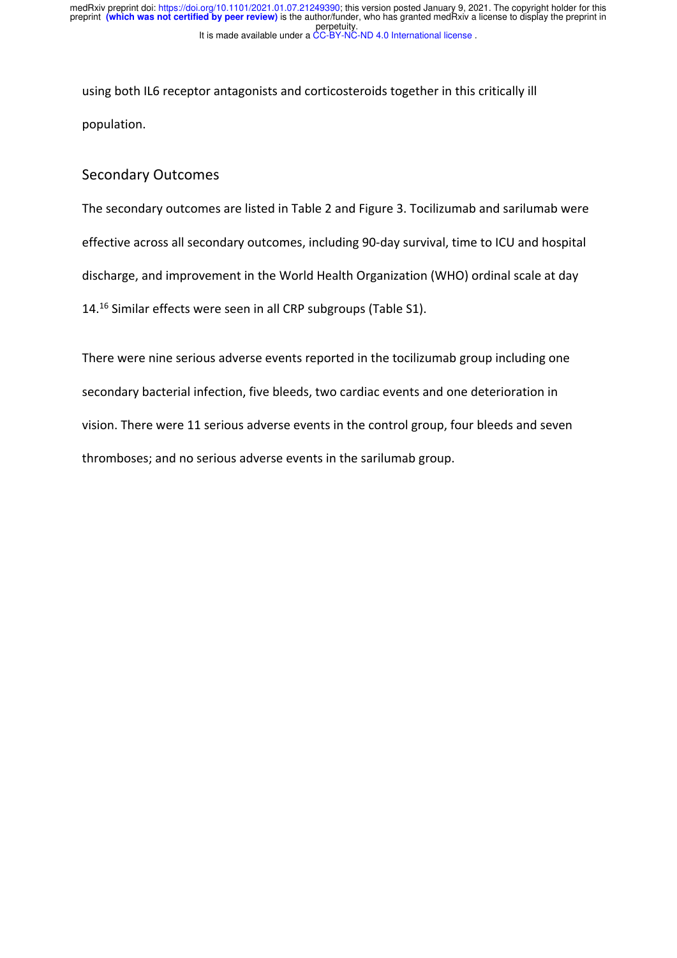using both IL6 receptor antagonists and corticosteroids together in this critically ill population.

#### Secondary Outcomes

The secondary outcomes are listed in Table 2 and Figure 3. Tocilizumab and sarilumab were effective across all secondary outcomes, including 90-day survival, time to ICU and hospital discharge, and improvement in the World Health Organization (WHO) ordinal scale at day 14. <sup>16</sup> Similar effects were seen in all CRP subgroups (Table S1).

There were nine serious adverse events reported in the tocilizumab group including one secondary bacterial infection, five bleeds, two cardiac events and one deterioration in vision. There were 11 serious adverse events in the control group, four bleeds and seven thromboses; and no serious adverse events in the sarilumab group.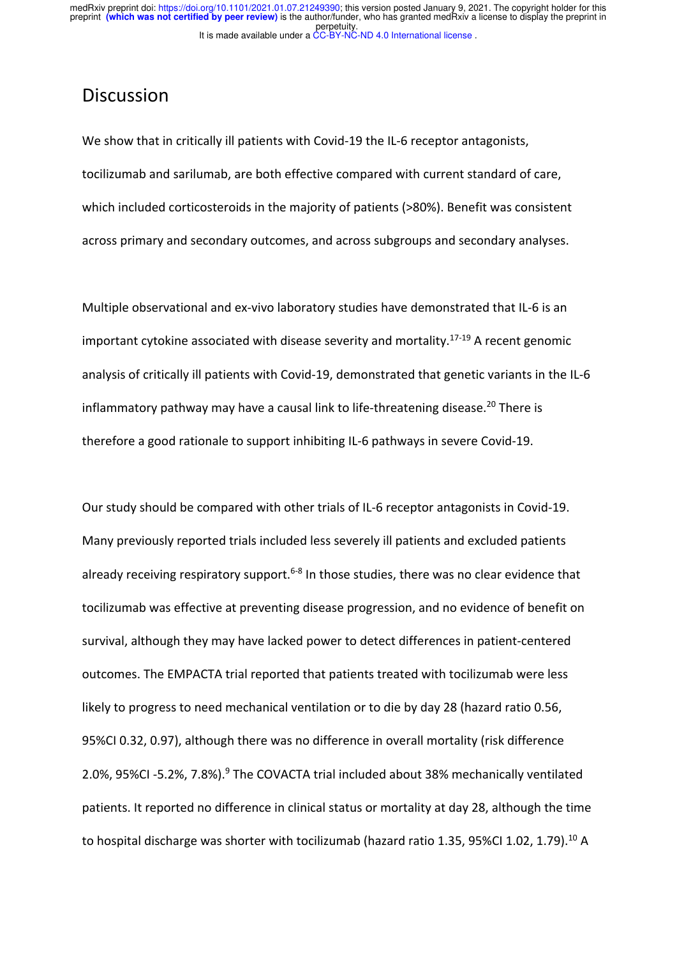## **Discussion**

We show that in critically ill patients with Covid-19 the IL-6 receptor antagonists, tocilizumab and sarilumab, are both effective compared with current standard of care, which included corticosteroids in the majority of patients (>80%). Benefit was consistent across primary and secondary outcomes, and across subgroups and secondary analyses.

Multiple observational and ex-vivo laboratory studies have demonstrated that IL-6 is an important cytokine associated with disease severity and mortality.<sup>17-19</sup> A recent genomic analysis of critically ill patients with Covid-19, demonstrated that genetic variants in the IL-6 inflammatory pathway may have a causal link to life-threatening disease.<sup>20</sup> There is therefore a good rationale to support inhibiting IL-6 pathways in severe Covid-19.

Our study should be compared with other trials of IL-6 receptor antagonists in Covid-19. Many previously reported trials included less severely ill patients and excluded patients already receiving respiratory support.<sup>6-8</sup> In those studies, there was no clear evidence that tocilizumab was effective at preventing disease progression, and no evidence of benefit on survival, although they may have lacked power to detect differences in patient-centered outcomes. The EMPACTA trial reported that patients treated with tocilizumab were less likely to progress to need mechanical ventilation or to die by day 28 (hazard ratio 0.56, 95%CI 0.32, 0.97), although there was no difference in overall mortality (risk difference 2.0%, 95%CI -5.2%, 7.8%).<sup>9</sup> The COVACTA trial included about 38% mechanically ventilated patients. It reported no difference in clinical status or mortality at day 28, although the time to hospital discharge was shorter with tocilizumab (hazard ratio 1.35, 95%CI 1.02, 1.79).<sup>10</sup> A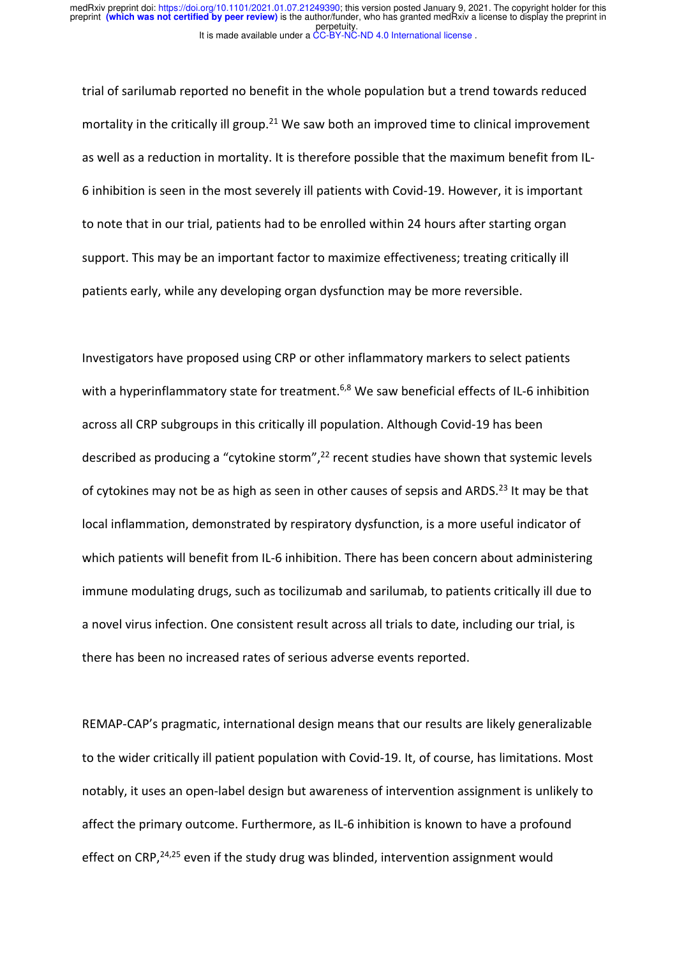trial of sarilumab reported no benefit in the whole population but a trend towards reduced mortality in the critically ill group.<sup>21</sup> We saw both an improved time to clinical improvement as well as a reduction in mortality. It is therefore possible that the maximum benefit from IL-6 inhibition is seen in the most severely ill patients with Covid-19. However, it is important to note that in our trial, patients had to be enrolled within 24 hours after starting organ support. This may be an important factor to maximize effectiveness; treating critically ill patients early, while any developing organ dysfunction may be more reversible.

Investigators have proposed using CRP or other inflammatory markers to select patients with a hyperinflammatory state for treatment.<sup>6,8</sup> We saw beneficial effects of IL-6 inhibition across all CRP subgroups in this critically ill population. Although Covid-19 has been described as producing a "cytokine storm",<sup>22</sup> recent studies have shown that systemic levels of cytokines may not be as high as seen in other causes of sepsis and ARDS.<sup>23</sup> It may be that local inflammation, demonstrated by respiratory dysfunction, is a more useful indicator of which patients will benefit from IL-6 inhibition. There has been concern about administering immune modulating drugs, such as tocilizumab and sarilumab, to patients critically ill due to a novel virus infection. One consistent result across all trials to date, including our trial, is there has been no increased rates of serious adverse events reported.

REMAP-CAP's pragmatic, international design means that our results are likely generalizable to the wider critically ill patient population with Covid-19. It, of course, has limitations. Most notably, it uses an open-label design but awareness of intervention assignment is unlikely to affect the primary outcome. Furthermore, as IL-6 inhibition is known to have a profound effect on CRP, $24,25$  even if the study drug was blinded, intervention assignment would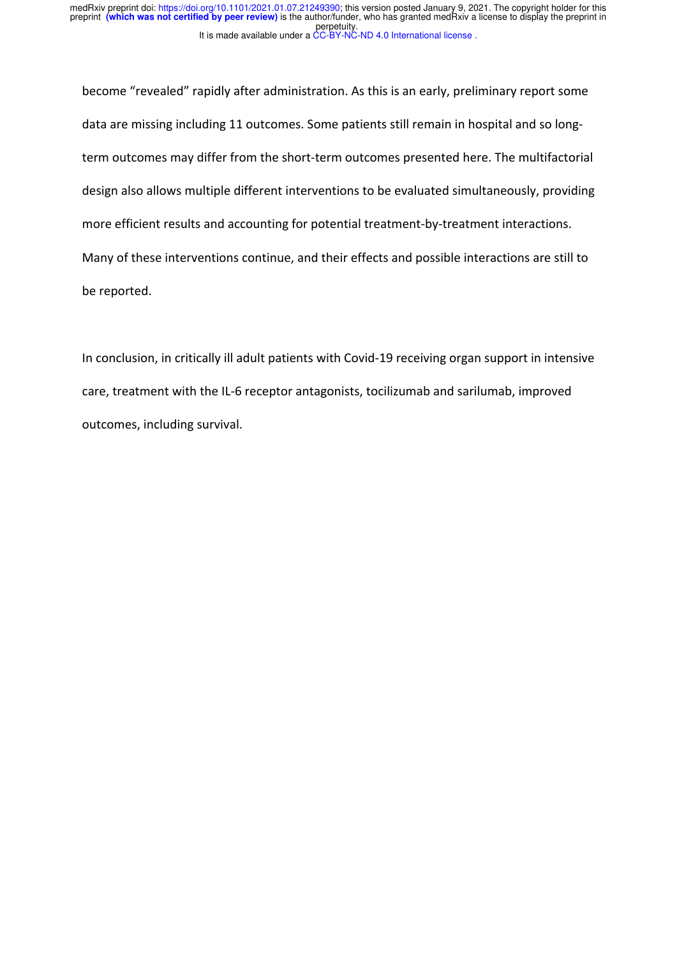become "revealed" rapidly after administration. As this is an early, preliminary report some data are missing including 11 outcomes. Some patients still remain in hospital and so longterm outcomes may differ from the short-term outcomes presented here. The multifactorial design also allows multiple different interventions to be evaluated simultaneously, providing more efficient results and accounting for potential treatment-by-treatment interactions. Many of these interventions continue, and their effects and possible interactions are still to be reported.

In conclusion, in critically ill adult patients with Covid-19 receiving organ support in intensive care, treatment with the IL-6 receptor antagonists, tocilizumab and sarilumab, improved outcomes, including survival.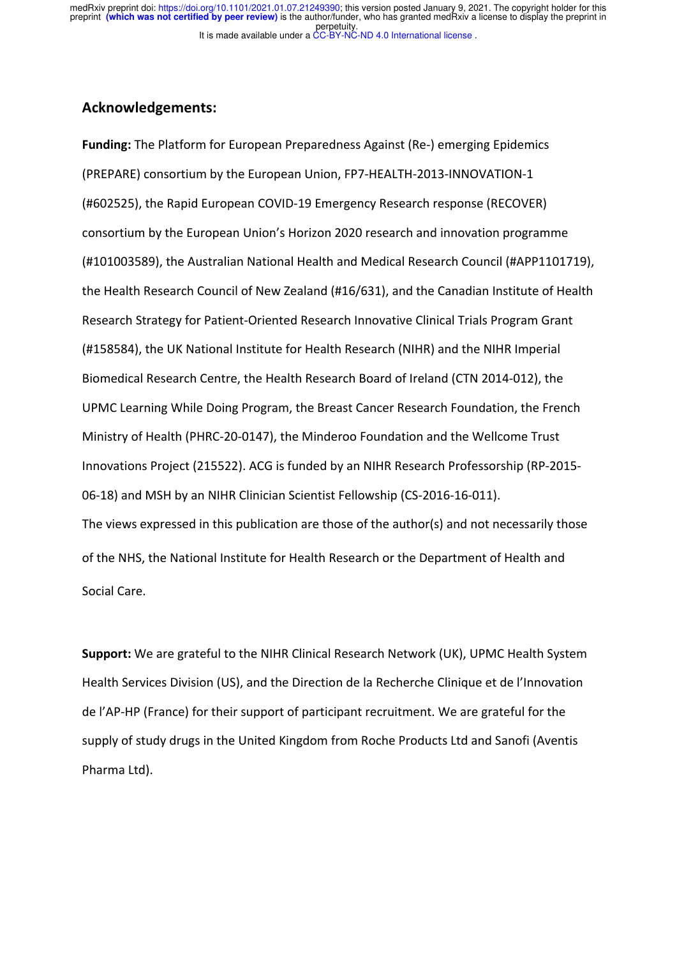#### **Acknowledgements:**

**Funding:** The Platform for European Preparedness Against (Re-) emerging Epidemics (PREPARE) consortium by the European Union, FP7-HEALTH-2013-INNOVATION-1 (#602525), the Rapid European COVID-19 Emergency Research response (RECOVER) consortium by the European Union's Horizon 2020 research and innovation programme (#101003589), the Australian National Health and Medical Research Council (#APP1101719), the Health Research Council of New Zealand (#16/631), and the Canadian Institute of Health Research Strategy for Patient-Oriented Research Innovative Clinical Trials Program Grant (#158584), the UK National Institute for Health Research (NIHR) and the NIHR Imperial Biomedical Research Centre, the Health Research Board of Ireland (CTN 2014-012), the UPMC Learning While Doing Program, the Breast Cancer Research Foundation, the French Ministry of Health (PHRC-20-0147), the Minderoo Foundation and the Wellcome Trust Innovations Project (215522). ACG is funded by an NIHR Research Professorship (RP-2015- 06-18) and MSH by an NIHR Clinician Scientist Fellowship (CS-2016-16-011). The views expressed in this publication are those of the author(s) and not necessarily those of the NHS, the National Institute for Health Research or the Department of Health and Social Care.

**Support:** We are grateful to the NIHR Clinical Research Network (UK), UPMC Health System Health Services Division (US), and the Direction de la Recherche Clinique et de l'Innovation de l'AP-HP (France) for their support of participant recruitment. We are grateful for the supply of study drugs in the United Kingdom from Roche Products Ltd and Sanofi (Aventis Pharma Ltd).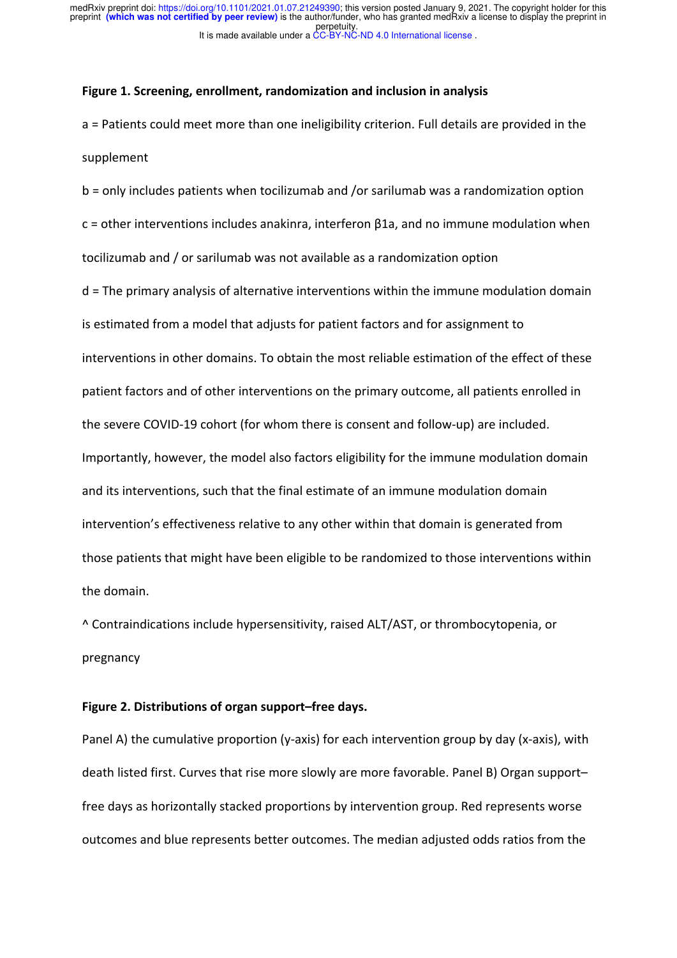#### **Figure 1. Screening, enrollment, randomization and inclusion in analysis**

a = Patients could meet more than one ineligibility criterion. Full details are provided in the supplement

b = only includes patients when tocilizumab and /or sarilumab was a randomization option c = other interventions includes anakinra, interferon β1a, and no immune modulation when tocilizumab and / or sarilumab was not available as a randomization option

d = The primary analysis of alternative interventions within the immune modulation domain is estimated from a model that adjusts for patient factors and for assignment to interventions in other domains. To obtain the most reliable estimation of the effect of these patient factors and of other interventions on the primary outcome, all patients enrolled in the severe COVID-19 cohort (for whom there is consent and follow-up) are included. Importantly, however, the model also factors eligibility for the immune modulation domain and its interventions, such that the final estimate of an immune modulation domain intervention's effectiveness relative to any other within that domain is generated from those patients that might have been eligible to be randomized to those interventions within the domain.

^ Contraindications include hypersensitivity, raised ALT/AST, or thrombocytopenia, or pregnancy

#### **Figure 2. Distributions of organ support–free days.**

Panel A) the cumulative proportion (y-axis) for each intervention group by day (x-axis), with death listed first. Curves that rise more slowly are more favorable. Panel B) Organ support– free days as horizontally stacked proportions by intervention group. Red represents worse outcomes and blue represents better outcomes. The median adjusted odds ratios from the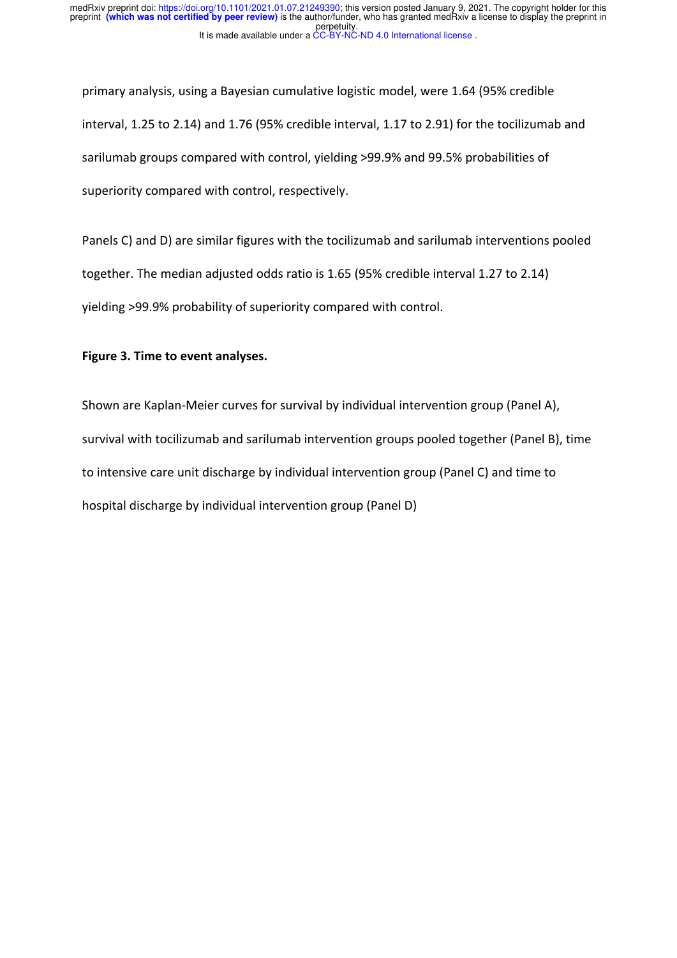primary analysis, using a Bayesian cumulative logistic model, were 1.64 (95% credible interval, 1.25 to 2.14) and 1.76 (95% credible interval, 1.17 to 2.91) for the tocilizumab and sarilumab groups compared with control, yielding >99.9% and 99.5% probabilities of superiority compared with control, respectively.

Panels C) and D) are similar figures with the tocilizumab and sarilumab interventions pooled together. The median adjusted odds ratio is 1.65 (95% credible interval 1.27 to 2.14) yielding >99.9% probability of superiority compared with control.

#### **Figure 3. Time to event analyses.**

Shown are Kaplan-Meier curves for survival by individual intervention group (Panel A), survival with tocilizumab and sarilumab intervention groups pooled together (Panel B), time to intensive care unit discharge by individual intervention group (Panel C) and time to hospital discharge by individual intervention group (Panel D)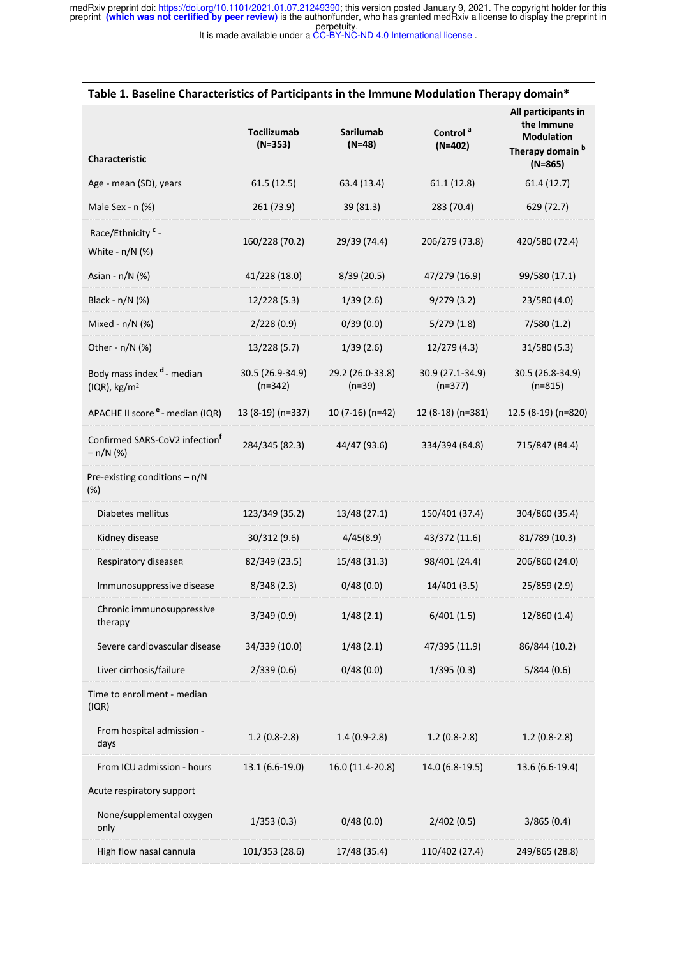preprint (which was not certified by peer review) is the author/funder, who has granted medRxiv a license to display the preprint in<br>perpetuity. medRxiv preprint doi: https://doi.org/10.1101/2021.01.07.21249390; this version posted January 9, 2021. The copyright holder for this

It is made available under a CC-BY-NC-ND 4.0 International license .

| Table 1. Baseline Characteristics of Participants in the Immune Modulation Therapy domain* |                                 |                              |                                   |                                                                                                    |
|--------------------------------------------------------------------------------------------|---------------------------------|------------------------------|-----------------------------------|----------------------------------------------------------------------------------------------------|
| Characteristic                                                                             | <b>Tocilizumab</b><br>$(N=353)$ | Sarilumab<br>$(N=48)$        | Control <sup>a</sup><br>$(N=402)$ | All participants in<br>the Immune<br><b>Modulation</b><br>Therapy domain <sup>b</sup><br>$(N=865)$ |
| Age - mean (SD), years                                                                     | 61.5(12.5)                      | 63.4 (13.4)                  | 61.1(12.8)                        | 61.4(12.7)                                                                                         |
| Male Sex - n (%)                                                                           | 261 (73.9)                      | 39 (81.3)                    | 283 (70.4)                        | 629 (72.7)                                                                                         |
| Race/Ethnicity <sup>c</sup> -<br>White - n/N (%)                                           | 160/228 (70.2)                  | 29/39 (74.4)                 | 206/279 (73.8)                    | 420/580 (72.4)                                                                                     |
| Asian - n/N (%)                                                                            | 41/228 (18.0)                   | 8/39 (20.5)                  | 47/279 (16.9)                     | 99/580 (17.1)                                                                                      |
| Black - n/N (%)                                                                            | 12/228 (5.3)                    | 1/39(2.6)                    | 9/279(3.2)                        | 23/580 (4.0)                                                                                       |
| Mixed - n/N (%)                                                                            | 2/228(0.9)                      | 0/39(0.0)                    | 5/279(1.8)                        | 7/580(1.2)                                                                                         |
| Other - n/N (%)                                                                            | 13/228 (5.7)                    | 1/39(2.6)                    | 12/279 (4.3)                      | 31/580 (5.3)                                                                                       |
| Body mass index d - median<br>( IQR), kg/m <sup>2</sup>                                    | 30.5 (26.9-34.9)<br>$(n=342)$   | 29.2 (26.0-33.8)<br>$(n=39)$ | 30.9 (27.1-34.9)<br>$(n=377)$     | 30.5 (26.8-34.9)<br>$(n=815)$                                                                      |
| APACHE II score e - median (IQR)                                                           | 13 (8-19) (n=337)               | $10(7-16)(n=42)$             | 12 (8-18) (n=381)                 | 12.5 (8-19) (n=820)                                                                                |
| Confirmed SARS-CoV2 infection <sup>T</sup><br>$- n/N$ (%)                                  | 284/345 (82.3)                  | 44/47 (93.6)                 | 334/394 (84.8)                    | 715/847 (84.4)                                                                                     |
| Pre-existing conditions - n/N<br>(%)                                                       |                                 |                              |                                   |                                                                                                    |
| Diabetes mellitus                                                                          | 123/349 (35.2)                  | 13/48 (27.1)                 | 150/401 (37.4)                    | 304/860 (35.4)                                                                                     |
| Kidney disease                                                                             | 30/312 (9.6)                    | 4/45(8.9)                    | 43/372 (11.6)                     | 81/789 (10.3)                                                                                      |
| Respiratory disease¤                                                                       | 82/349 (23.5)                   | 15/48 (31.3)                 | 98/401 (24.4)                     | 206/860 (24.0)                                                                                     |
| Immunosuppressive disease                                                                  | 8/348(2.3)                      | 0/48(0.0)                    | 14/401 (3.5)                      | 25/859 (2.9)                                                                                       |
| Chronic immunosuppressive<br>therapy                                                       | 3/349(0.9)                      | 1/48(2.1)                    | 6/401(1.5)                        | 12/860 (1.4)                                                                                       |
| Severe cardiovascular disease                                                              | 34/339 (10.0)                   | 1/48(2.1)                    | 47/395 (11.9)                     | 86/844 (10.2)                                                                                      |
| Liver cirrhosis/failure                                                                    | 2/339(0.6)                      | 0/48(0.0)                    | 1/395(0.3)                        | 5/844(0.6)                                                                                         |
| Time to enrollment - median<br>(IQR)                                                       |                                 |                              |                                   |                                                                                                    |
| From hospital admission -<br>days                                                          | $1.2(0.8-2.8)$                  | $1.4(0.9-2.8)$               | $1.2(0.8-2.8)$                    | $1.2(0.8-2.8)$                                                                                     |
| From ICU admission - hours                                                                 | 13.1 (6.6-19.0)                 | 16.0 (11.4-20.8)             | 14.0 (6.8-19.5)                   | 13.6 (6.6-19.4)                                                                                    |
| Acute respiratory support                                                                  |                                 |                              |                                   |                                                                                                    |
| None/supplemental oxygen<br>only                                                           | 1/353(0.3)                      | 0/48(0.0)                    | 2/402(0.5)                        | 3/865(0.4)                                                                                         |
| High flow nasal cannula                                                                    | 101/353 (28.6)                  | 17/48 (35.4)                 | 110/402 (27.4)                    | 249/865 (28.8)                                                                                     |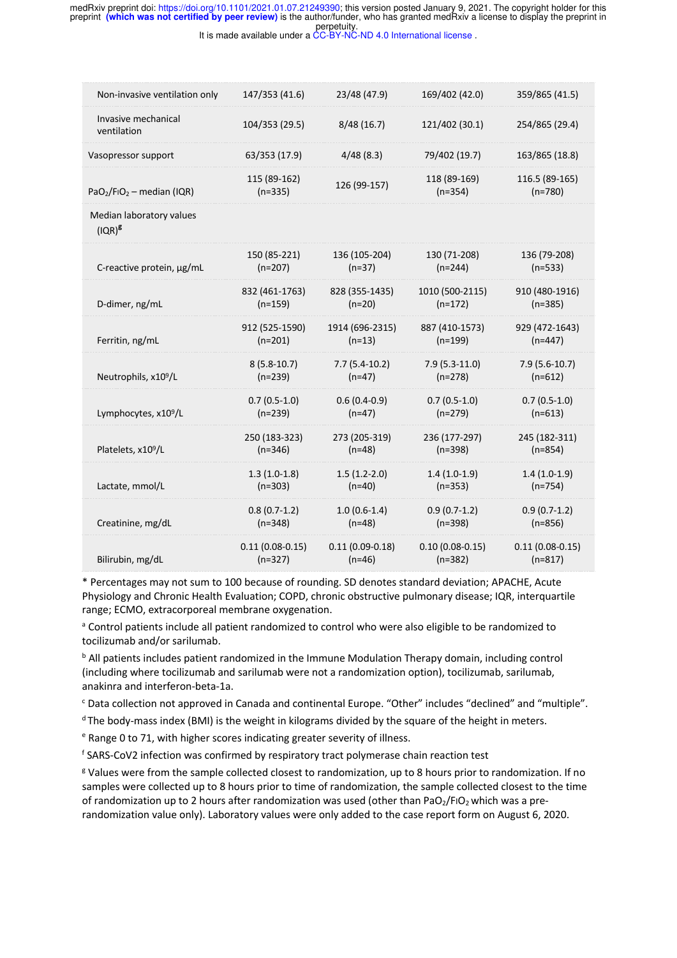perpetuity. preprint **(which was not certified by peer review)** is the author/funder, who has granted medRxiv a license to display the preprint in medRxiv preprint doi: https://doi.org/10.1101/2021.01.07.21249390; this version posted January 9, 2021. The copyright holder for this

It is made available under a CC-BY-NC-ND 4.0 International license .

| Non-invasive ventilation only         | 147/353 (41.6)            | 23/48 (47.9)        | 169/402 (42.0)            | 359/865 (41.5)              |
|---------------------------------------|---------------------------|---------------------|---------------------------|-----------------------------|
| Invasive mechanical<br>ventilation    | 104/353 (29.5)            | 8/48(16.7)          | 121/402 (30.1)            | 254/865 (29.4)              |
| Vasopressor support                   | 63/353 (17.9)             | 4/48(8.3)           | 79/402 (19.7)             | 163/865 (18.8)              |
| $PaO2/FiO2$ – median (IQR)            | 115 (89-162)<br>$(n=335)$ | 126 (99-157)        | 118 (89-169)<br>$(n=354)$ | 116.5 (89-165)<br>$(n=780)$ |
| Median laboratory values<br>$(IQR)^g$ |                           |                     |                           |                             |
| C-reactive protein, µg/mL             | 150 (85-221)              | 136 (105-204)       | 130 (71-208)              | 136 (79-208)                |
|                                       | $(n=207)$                 | $(n=37)$            | $(n=244)$                 | $(n=533)$                   |
| D-dimer, ng/mL                        | 832 (461-1763)            | 828 (355-1435)      | 1010 (500-2115)           | 910 (480-1916)              |
|                                       | $(n=159)$                 | $(n=20)$            | $(n=172)$                 | $(n=385)$                   |
| Ferritin, ng/mL                       | 912 (525-1590)            | 1914 (696-2315)     | 887 (410-1573)            | 929 (472-1643)              |
|                                       | $(n=201)$                 | $(n=13)$            | $(n=199)$                 | $(n=447)$                   |
| Neutrophils, x10 <sup>9</sup> /L      | $8(5.8-10.7)$             | $7.7(5.4-10.2)$     | $7.9(5.3-11.0)$           | $7.9(5.6-10.7)$             |
|                                       | $(n=239)$                 | $(n=47)$            | $(n=278)$                 | $(n=612)$                   |
| Lymphocytes, x10 <sup>9</sup> /L      | $0.7(0.5-1.0)$            | $0.6(0.4-0.9)$      | $0.7(0.5-1.0)$            | $0.7(0.5-1.0)$              |
|                                       | $(n=239)$                 | $(n=47)$            | $(n=279)$                 | $(n=613)$                   |
| Platelets, x10 <sup>9</sup> /L        | 250 (183-323)             | 273 (205-319)       | 236 (177-297)             | 245 (182-311)               |
|                                       | $(n=346)$                 | $(n=48)$            | $(n=398)$                 | $(n=854)$                   |
| Lactate, mmol/L                       | $1.3(1.0-1.8)$            | $1.5(1.2-2.0)$      | $1.4(1.0-1.9)$            | $1.4(1.0-1.9)$              |
|                                       | $(n=303)$                 | $(n=40)$            | $(n=353)$                 | $(n=754)$                   |
| Creatinine, mg/dL                     | $0.8(0.7-1.2)$            | $1.0(0.6-1.4)$      | $0.9(0.7-1.2)$            | $0.9(0.7-1.2)$              |
|                                       | $(n=348)$                 | $(n=48)$            | $(n=398)$                 | $(n=856)$                   |
| Bilirubin, mg/dL                      | $0.11(0.08 - 0.15)$       | $0.11(0.09 - 0.18)$ | $0.10(0.08 - 0.15)$       | $0.11(0.08-0.15)$           |
|                                       | $(n=327)$                 | $(n=46)$            | $(n=382)$                 | $(n=817)$                   |

\* Percentages may not sum to 100 because of rounding. SD denotes standard deviation; APACHE, Acute Physiology and Chronic Health Evaluation; COPD, chronic obstructive pulmonary disease; IQR, interquartile range; ECMO, extracorporeal membrane oxygenation.

<sup>a</sup> Control patients include all patient randomized to control who were also eligible to be randomized to tocilizumab and/or sarilumab.

<sup>b</sup> All patients includes patient randomized in the Immune Modulation Therapy domain, including control (including where tocilizumab and sarilumab were not a randomization option), tocilizumab, sarilumab, anakinra and interferon-beta-1a.

<sup>c</sup> Data collection not approved in Canada and continental Europe. "Other" includes "declined" and "multiple".

<sup>d</sup> The body-mass index (BMI) is the weight in kilograms divided by the square of the height in meters.

<sup>e</sup> Range 0 to 71, with higher scores indicating greater severity of illness.

<sup>f</sup> SARS-CoV2 infection was confirmed by respiratory tract polymerase chain reaction test

<sup>g</sup> Values were from the sample collected closest to randomization, up to 8 hours prior to randomization. If no samples were collected up to 8 hours prior to time of randomization, the sample collected closest to the time of randomization up to 2 hours after randomization was used (other than PaO<sub>2</sub>/FIO<sub>2</sub> which was a prerandomization value only). Laboratory values were only added to the case report form on August 6, 2020.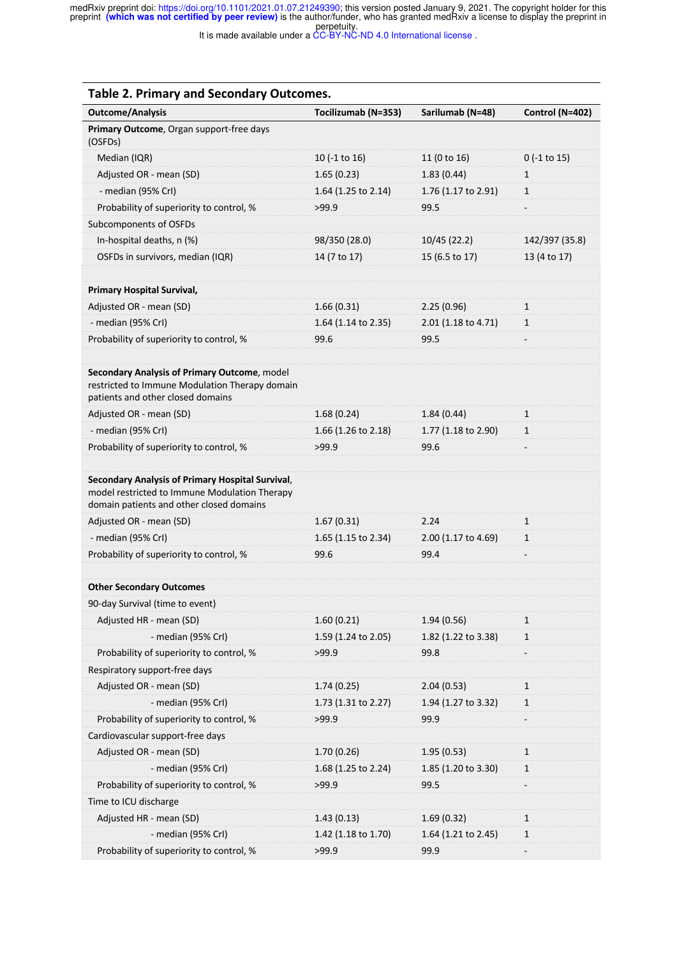preprint (which was not certified by peer review) is the author/funder, who has granted medRxiv a license to display the preprint in<br>perpetuity. medRxiv preprint doi: https://doi.org/10.1101/2021.01.07.21249390; this version posted January 9, 2021. The copyright holder for this

It is made available under a CC-BY-NC-ND 4.0 International license .

| <b>Table 2. Primary and Secondary Outcomes.</b>                                                                                               |                     |                     |                 |
|-----------------------------------------------------------------------------------------------------------------------------------------------|---------------------|---------------------|-----------------|
| <b>Outcome/Analysis</b>                                                                                                                       | Tocilizumab (N=353) | Sarilumab (N=48)    | Control (N=402) |
| Primary Outcome, Organ support-free days<br>(OSFDs)                                                                                           |                     |                     |                 |
| Median (IQR)                                                                                                                                  | 10 (-1 to 16)       | 11 (0 to 16)        | $0$ (-1 to 15)  |
| Adjusted OR - mean (SD)                                                                                                                       | 1.65(0.23)          | 1.83(0.44)          | 1               |
| - median (95% CrI)                                                                                                                            | 1.64 (1.25 to 2.14) | 1.76 (1.17 to 2.91) | $\mathbf{1}$    |
| Probability of superiority to control, %                                                                                                      | >99.9               | 99.5                |                 |
| Subcomponents of OSFDs                                                                                                                        |                     |                     |                 |
| In-hospital deaths, n (%)                                                                                                                     | 98/350 (28.0)       | 10/45 (22.2)        | 142/397 (35.8)  |
| OSFDs in survivors, median (IQR)                                                                                                              | 14 (7 to 17)        | 15 (6.5 to 17)      | 13 (4 to 17)    |
|                                                                                                                                               |                     |                     |                 |
| <b>Primary Hospital Survival,</b>                                                                                                             |                     |                     |                 |
| Adjusted OR - mean (SD)                                                                                                                       | 1.66(0.31)          | 2.25(0.96)          | $\mathbf{1}$    |
| - median (95% Crl)                                                                                                                            | 1.64 (1.14 to 2.35) | 2.01 (1.18 to 4.71) | $\mathbf{1}$    |
| Probability of superiority to control, %                                                                                                      | 99.6                | 99.5                |                 |
|                                                                                                                                               |                     |                     |                 |
| Secondary Analysis of Primary Outcome, model<br>restricted to Immune Modulation Therapy domain<br>patients and other closed domains           |                     |                     |                 |
| Adjusted OR - mean (SD)                                                                                                                       | 1.68(0.24)          | 1.84(0.44)          | $\mathbf{1}$    |
| - median (95% Crl)                                                                                                                            | 1.66 (1.26 to 2.18) | 1.77 (1.18 to 2.90) | 1               |
| Probability of superiority to control, %                                                                                                      | >99.9               | 99.6                |                 |
|                                                                                                                                               |                     |                     |                 |
| Secondary Analysis of Primary Hospital Survival,<br>model restricted to Immune Modulation Therapy<br>domain patients and other closed domains |                     |                     |                 |
| Adjusted OR - mean (SD)                                                                                                                       | 1.67(0.31)          | 2.24                | $\mathbf{1}$    |
| - median (95% CrI)                                                                                                                            | 1.65 (1.15 to 2.34) | 2.00 (1.17 to 4.69) | $\mathbf{1}$    |
| Probability of superiority to control, %                                                                                                      | 99.6                | 99.4                |                 |
|                                                                                                                                               |                     |                     |                 |
| <b>Other Secondary Outcomes</b>                                                                                                               |                     |                     |                 |
| 90-day Survival (time to event)                                                                                                               |                     |                     |                 |
| Adjusted HR - mean (SD)                                                                                                                       | 1.60(0.21)          | 1.94(0.56)          | 1               |
| - median (95% CrI)                                                                                                                            | 1.59 (1.24 to 2.05) | 1.82 (1.22 to 3.38) | $\mathbf{1}$    |
| Probability of superiority to control, %                                                                                                      | >99.9               | 99.8                |                 |
| Respiratory support-free days                                                                                                                 |                     |                     |                 |
| Adjusted OR - mean (SD)                                                                                                                       | 1.74(0.25)          | 2.04(0.53)          | 1               |
| - median (95% CrI)                                                                                                                            | 1.73 (1.31 to 2.27) | 1.94 (1.27 to 3.32) | 1               |
| Probability of superiority to control, %                                                                                                      | >99.9               | 99.9                |                 |
| Cardiovascular support-free days                                                                                                              |                     |                     |                 |
| Adjusted OR - mean (SD)                                                                                                                       | 1.70(0.26)          | 1.95(0.53)          | $\mathbf{1}$    |
| - median (95% Crl)                                                                                                                            | 1.68 (1.25 to 2.24) | 1.85 (1.20 to 3.30) | 1               |
| Probability of superiority to control, %                                                                                                      | >99.9               | 99.5                |                 |
| Time to ICU discharge                                                                                                                         |                     |                     |                 |
| Adjusted HR - mean (SD)                                                                                                                       | 1.43(0.13)          | 1.69(0.32)          | 1               |
| - median (95% CrI)                                                                                                                            | 1.42 (1.18 to 1.70) | 1.64 (1.21 to 2.45) | $\mathbf{1}$    |
| Probability of superiority to control, %                                                                                                      | >99.9               | 99.9                |                 |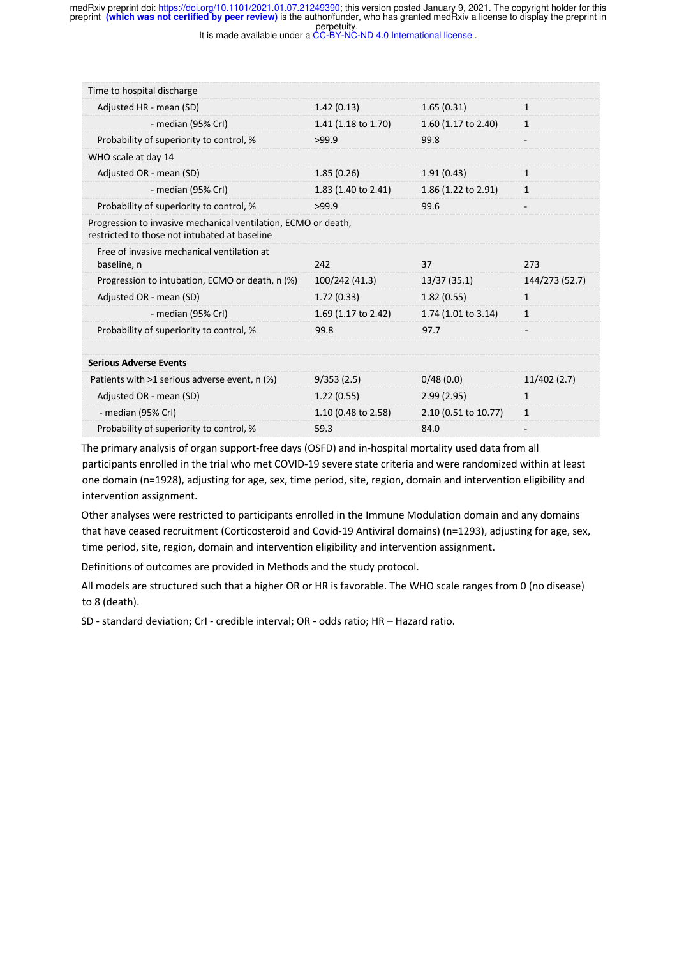preprint (which was not certified by peer review) is the author/funder, who has granted medRxiv a license to display the preprint in<br>perpetuity. medRxiv preprint doi: https://doi.org/10.1101/2021.01.07.21249390; this version posted January 9, 2021. The copyright holder for this

| Time to hospital discharge                                                                                      |                     |                                |                |
|-----------------------------------------------------------------------------------------------------------------|---------------------|--------------------------------|----------------|
| Adjusted HR - mean (SD)                                                                                         | 1.42(0.13)          | 1.65(0.31)                     | 1              |
| - median (95% Crl)                                                                                              | 1.41 (1.18 to 1.70) | 1.60 $(1.17 \text{ to } 2.40)$ | $\mathbf{1}$   |
| Probability of superiority to control, %                                                                        | >99.9               | 99.8                           |                |
| WHO scale at day 14                                                                                             |                     |                                |                |
| Adjusted OR - mean (SD)                                                                                         | 1.85(0.26)          | 1.91(0.43)                     | 1              |
| - median (95% Crl)                                                                                              | 1.83 (1.40 to 2.41) | 1.86 (1.22 to 2.91)            | $\mathbf{1}$   |
| Probability of superiority to control, %                                                                        | >99.9               | 99.6                           |                |
| Progression to invasive mechanical ventilation, ECMO or death,<br>restricted to those not intubated at baseline |                     |                                |                |
| Free of invasive mechanical ventilation at<br>baseline, n                                                       | 242                 | 37                             | 273            |
|                                                                                                                 |                     |                                |                |
| Progression to intubation, ECMO or death, n (%)                                                                 | 100/242 (41.3)      | 13/37(35.1)                    | 144/273 (52.7) |
| Adjusted OR - mean (SD)                                                                                         | 1.72(0.33)          | 1.82(0.55)                     | $\mathbf{1}$   |
| - median (95% CrI)                                                                                              | 1.69 (1.17 to 2.42) | 1.74 (1.01 to 3.14)            | $\mathbf{1}$   |
| Probability of superiority to control, %                                                                        | 99.8                | 97.7                           |                |
|                                                                                                                 |                     |                                |                |
| <b>Serious Adverse Events</b>                                                                                   |                     |                                |                |
| Patients with $\geq$ 1 serious adverse event, n (%)                                                             | 9/353(2.5)          | 0/48(0.0)                      | 11/402(2.7)    |
| Adjusted OR - mean (SD)                                                                                         | 1.22(0.55)          | 2.99(2.95)                     | $\mathbf{1}$   |
| - median (95% CrI)                                                                                              | 1.10 (0.48 to 2.58) | 2.10 (0.51 to 10.77)           | $\mathbf{1}$   |

The primary analysis of organ support-free days (OSFD) and in-hospital mortality used data from all participants enrolled in the trial who met COVID-19 severe state criteria and were randomized within at least one domain (n=1928), adjusting for age, sex, time period, site, region, domain and intervention eligibility and intervention assignment.

Other analyses were restricted to participants enrolled in the Immune Modulation domain and any domains that have ceased recruitment (Corticosteroid and Covid-19 Antiviral domains) (n=1293), adjusting for age, sex, time period, site, region, domain and intervention eligibility and intervention assignment.

Definitions of outcomes are provided in Methods and the study protocol.

All models are structured such that a higher OR or HR is favorable. The WHO scale ranges from 0 (no disease) to 8 (death).

SD - standard deviation; CrI - credible interval; OR - odds ratio; HR – Hazard ratio.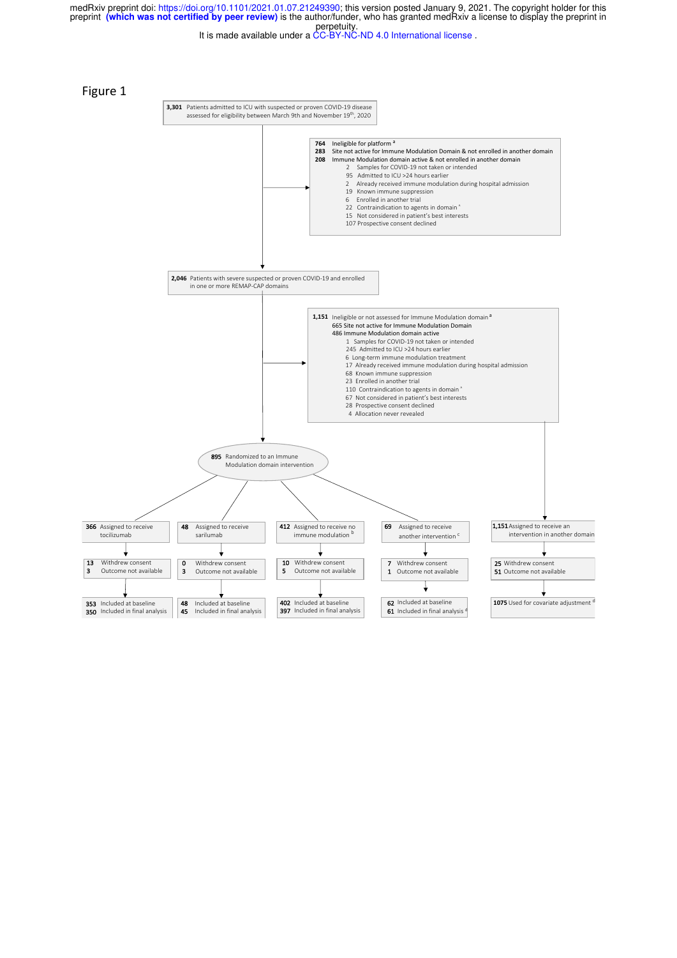perpetuity. preprint **(which was not certified by peer review)** is the author/funder, who has granted medRxiv a license to display the preprint in medRxiv preprint doi: https://doi.org/10.1101/2021.01.07.21249390; this version posted January 9, 2021. The copyright holder for this

It is made available under a CC-BY-NC-ND 4.0 International license .

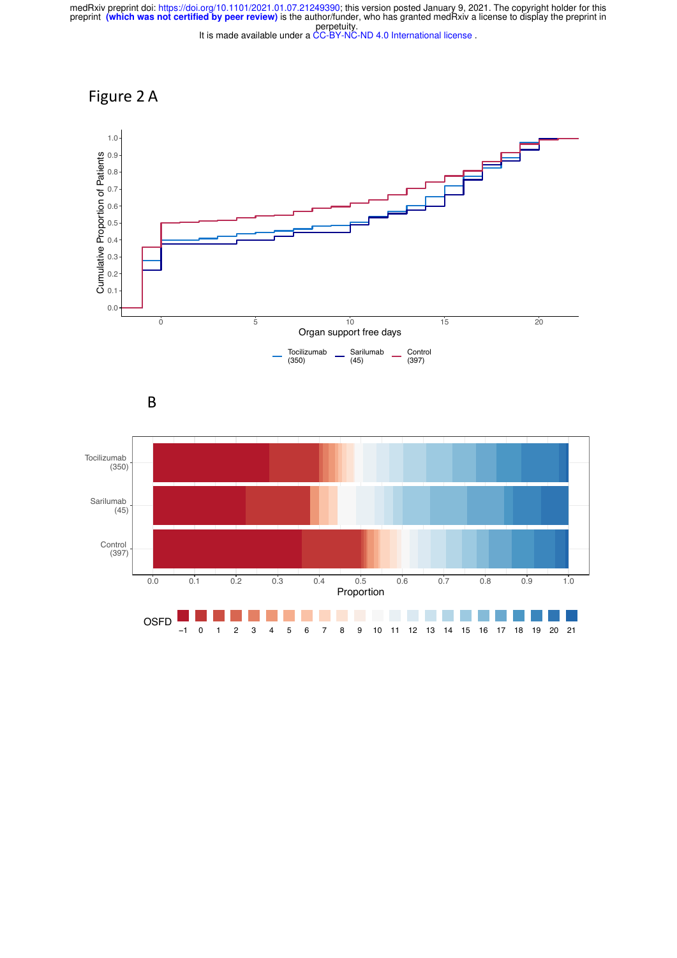# Figure 2 A



B

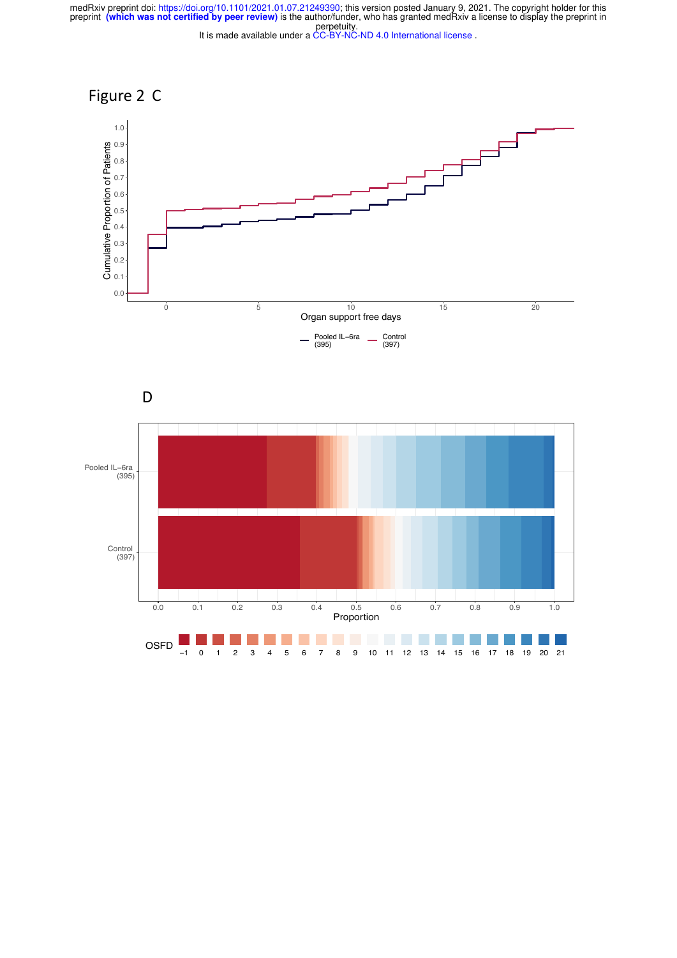



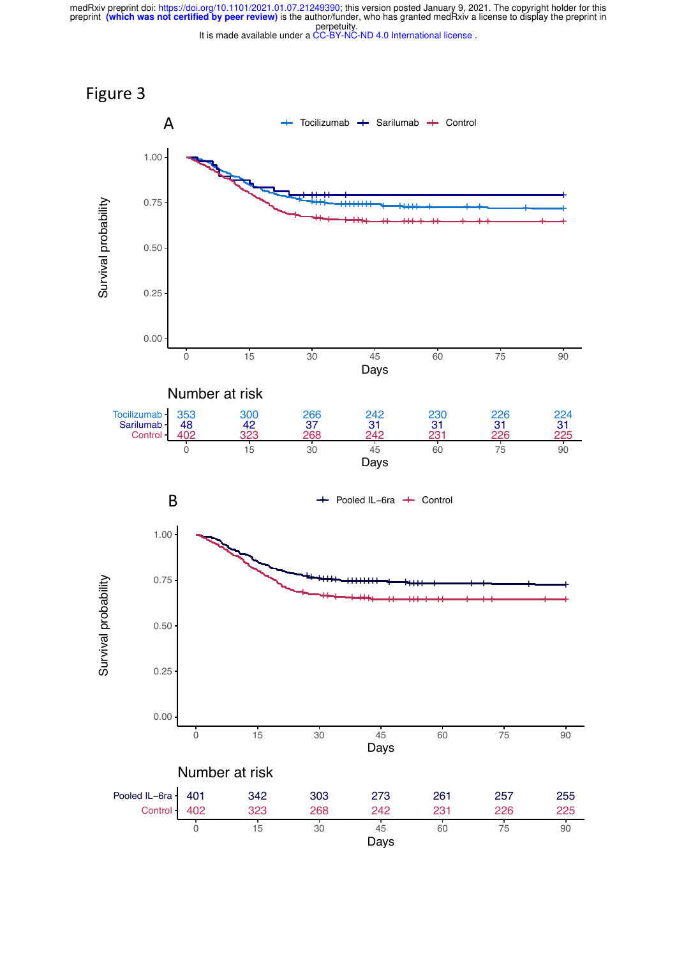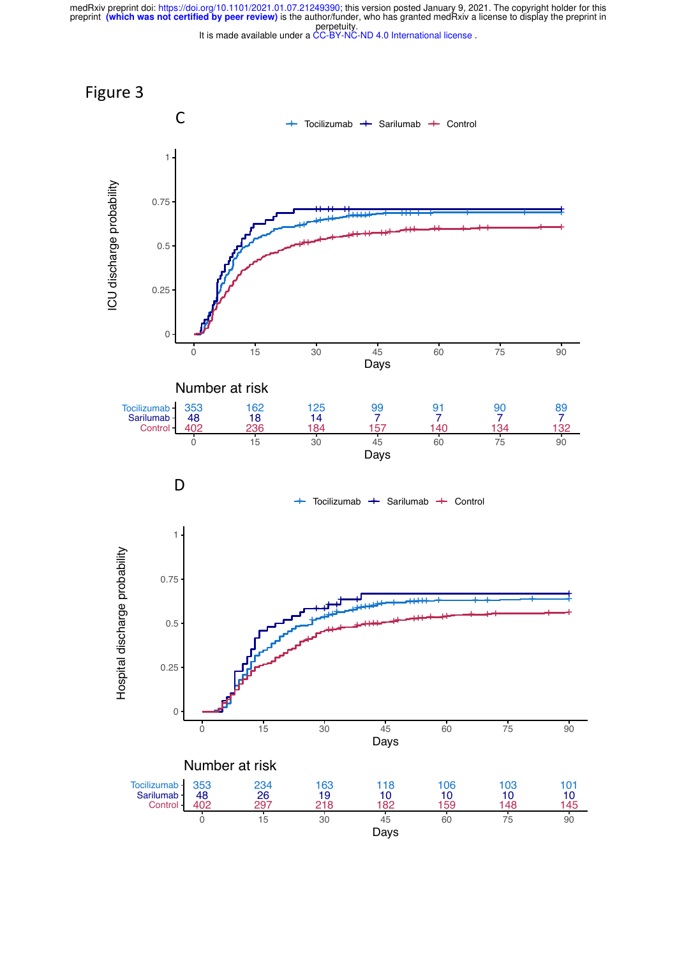preprint (which was not certified by peer review) is the author/funder, who has granted medRxiv a license to display the preprint in<br>perpetuity. medRxiv preprint doi: https://doi.org/10.1101/2021.01.07.21249390; this version posted January 9, 2021. The copyright holder for this



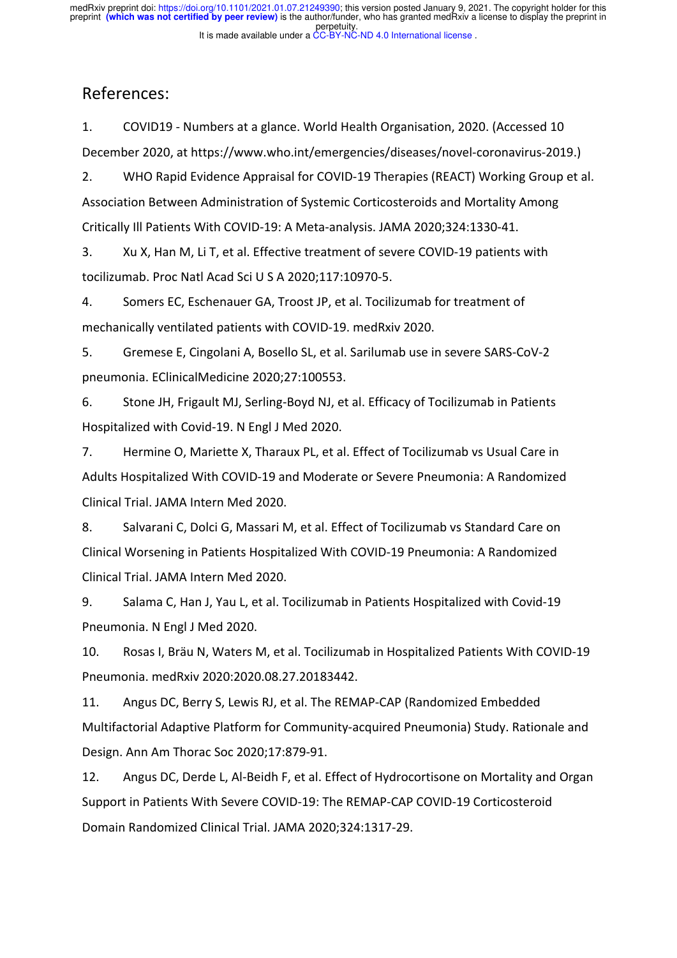## References:

1. COVID19 - Numbers at a glance. World Health Organisation, 2020. (Accessed 10 December 2020, at https://www.who.int/emergencies/diseases/novel-coronavirus-2019.)

2. WHO Rapid Evidence Appraisal for COVID-19 Therapies (REACT) Working Group et al. Association Between Administration of Systemic Corticosteroids and Mortality Among Critically Ill Patients With COVID-19: A Meta-analysis. JAMA 2020;324:1330-41.

3. Xu X, Han M, Li T, et al. Effective treatment of severe COVID-19 patients with tocilizumab. Proc Natl Acad Sci U S A 2020;117:10970-5.

4. Somers EC, Eschenauer GA, Troost JP, et al. Tocilizumab for treatment of mechanically ventilated patients with COVID-19. medRxiv 2020.

5. Gremese E, Cingolani A, Bosello SL, et al. Sarilumab use in severe SARS-CoV-2 pneumonia. EClinicalMedicine 2020;27:100553.

6. Stone JH, Frigault MJ, Serling-Boyd NJ, et al. Efficacy of Tocilizumab in Patients Hospitalized with Covid-19. N Engl J Med 2020.

7. Hermine O, Mariette X, Tharaux PL, et al. Effect of Tocilizumab vs Usual Care in Adults Hospitalized With COVID-19 and Moderate or Severe Pneumonia: A Randomized Clinical Trial. JAMA Intern Med 2020.

8. Salvarani C, Dolci G, Massari M, et al. Effect of Tocilizumab vs Standard Care on Clinical Worsening in Patients Hospitalized With COVID-19 Pneumonia: A Randomized Clinical Trial. JAMA Intern Med 2020.

9. Salama C, Han J, Yau L, et al. Tocilizumab in Patients Hospitalized with Covid-19 Pneumonia. N Engl J Med 2020.

10. Rosas I, Bräu N, Waters M, et al. Tocilizumab in Hospitalized Patients With COVID-19 Pneumonia. medRxiv 2020:2020.08.27.20183442.

11. Angus DC, Berry S, Lewis RJ, et al. The REMAP-CAP (Randomized Embedded Multifactorial Adaptive Platform for Community-acquired Pneumonia) Study. Rationale and Design. Ann Am Thorac Soc 2020;17:879-91.

12. Angus DC, Derde L, Al-Beidh F, et al. Effect of Hydrocortisone on Mortality and Organ Support in Patients With Severe COVID-19: The REMAP-CAP COVID-19 Corticosteroid Domain Randomized Clinical Trial. JAMA 2020;324:1317-29.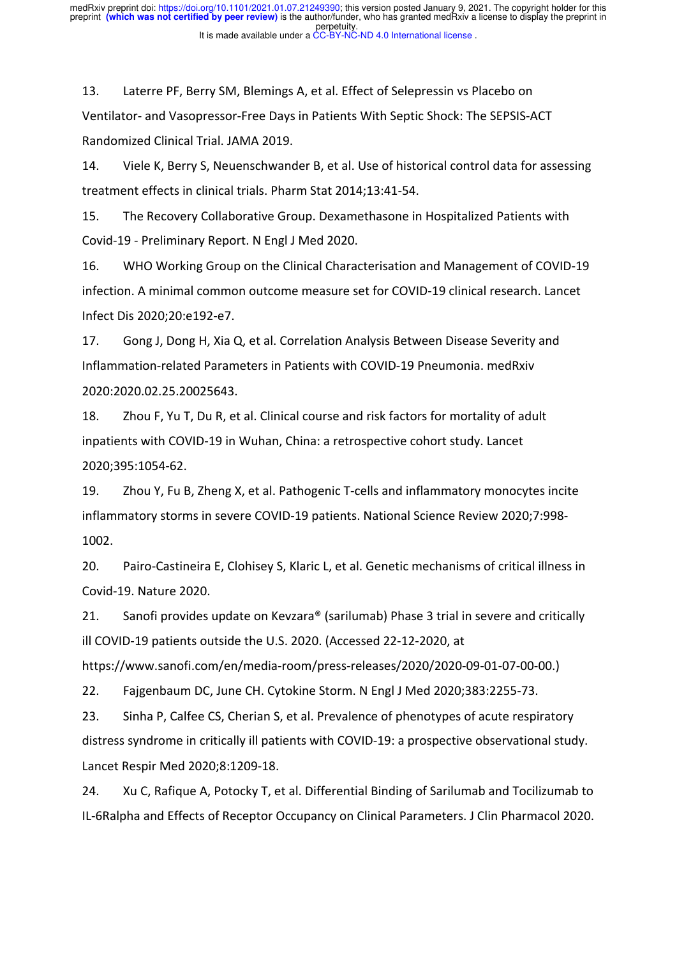13. Laterre PF, Berry SM, Blemings A, et al. Effect of Selepressin vs Placebo on Ventilator- and Vasopressor-Free Days in Patients With Septic Shock: The SEPSIS-ACT Randomized Clinical Trial. JAMA 2019.

14. Viele K, Berry S, Neuenschwander B, et al. Use of historical control data for assessing treatment effects in clinical trials. Pharm Stat 2014;13:41-54.

15. The Recovery Collaborative Group. Dexamethasone in Hospitalized Patients with Covid-19 - Preliminary Report. N Engl J Med 2020.

16. WHO Working Group on the Clinical Characterisation and Management of COVID-19 infection. A minimal common outcome measure set for COVID-19 clinical research. Lancet Infect Dis 2020;20:e192-e7.

17. Gong J, Dong H, Xia Q, et al. Correlation Analysis Between Disease Severity and Inflammation-related Parameters in Patients with COVID-19 Pneumonia. medRxiv 2020:2020.02.25.20025643.

18. Zhou F, Yu T, Du R, et al. Clinical course and risk factors for mortality of adult inpatients with COVID-19 in Wuhan, China: a retrospective cohort study. Lancet 2020;395:1054-62.

19. Zhou Y, Fu B, Zheng X, et al. Pathogenic T-cells and inflammatory monocytes incite inflammatory storms in severe COVID-19 patients. National Science Review 2020;7:998- 1002.

20. Pairo-Castineira E, Clohisey S, Klaric L, et al. Genetic mechanisms of critical illness in Covid-19. Nature 2020.

21. Sanofi provides update on Kevzara® (sarilumab) Phase 3 trial in severe and critically ill COVID-19 patients outside the U.S. 2020. (Accessed 22-12-2020, at

https://www.sanofi.com/en/media-room/press-releases/2020/2020-09-01-07-00-00.)

22. Fajgenbaum DC, June CH. Cytokine Storm. N Engl J Med 2020;383:2255-73.

23. Sinha P, Calfee CS, Cherian S, et al. Prevalence of phenotypes of acute respiratory distress syndrome in critically ill patients with COVID-19: a prospective observational study. Lancet Respir Med 2020;8:1209-18.

24. Xu C, Rafique A, Potocky T, et al. Differential Binding of Sarilumab and Tocilizumab to IL-6Ralpha and Effects of Receptor Occupancy on Clinical Parameters. J Clin Pharmacol 2020.